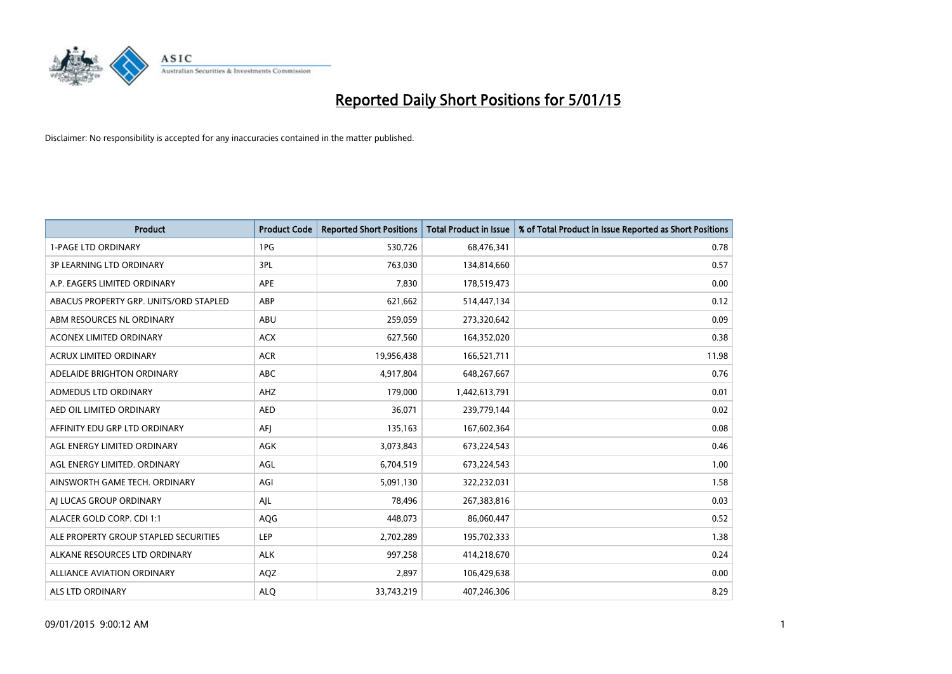

| <b>Product</b>                         | <b>Product Code</b> | <b>Reported Short Positions</b> | <b>Total Product in Issue</b> | % of Total Product in Issue Reported as Short Positions |
|----------------------------------------|---------------------|---------------------------------|-------------------------------|---------------------------------------------------------|
| <b>1-PAGE LTD ORDINARY</b>             | 1PG                 | 530,726                         | 68,476,341                    | 0.78                                                    |
| <b>3P LEARNING LTD ORDINARY</b>        | 3PL                 | 763,030                         | 134,814,660                   | 0.57                                                    |
| A.P. EAGERS LIMITED ORDINARY           | <b>APE</b>          | 7,830                           | 178,519,473                   | 0.00                                                    |
| ABACUS PROPERTY GRP. UNITS/ORD STAPLED | ABP                 | 621,662                         | 514,447,134                   | 0.12                                                    |
| ABM RESOURCES NL ORDINARY              | ABU                 | 259,059                         | 273,320,642                   | 0.09                                                    |
| <b>ACONEX LIMITED ORDINARY</b>         | <b>ACX</b>          | 627,560                         | 164,352,020                   | 0.38                                                    |
| <b>ACRUX LIMITED ORDINARY</b>          | <b>ACR</b>          | 19,956,438                      | 166,521,711                   | 11.98                                                   |
| ADELAIDE BRIGHTON ORDINARY             | <b>ABC</b>          | 4,917,804                       | 648,267,667                   | 0.76                                                    |
| ADMEDUS LTD ORDINARY                   | AHZ                 | 179,000                         | 1,442,613,791                 | 0.01                                                    |
| AED OIL LIMITED ORDINARY               | <b>AED</b>          | 36,071                          | 239,779,144                   | 0.02                                                    |
| AFFINITY EDU GRP LTD ORDINARY          | AFJ                 | 135,163                         | 167,602,364                   | 0.08                                                    |
| AGL ENERGY LIMITED ORDINARY            | AGK                 | 3,073,843                       | 673,224,543                   | 0.46                                                    |
| AGL ENERGY LIMITED. ORDINARY           | AGL                 | 6,704,519                       | 673,224,543                   | 1.00                                                    |
| AINSWORTH GAME TECH. ORDINARY          | AGI                 | 5,091,130                       | 322,232,031                   | 1.58                                                    |
| AI LUCAS GROUP ORDINARY                | AJL                 | 78,496                          | 267,383,816                   | 0.03                                                    |
| ALACER GOLD CORP. CDI 1:1              | AQG                 | 448,073                         | 86,060,447                    | 0.52                                                    |
| ALE PROPERTY GROUP STAPLED SECURITIES  | LEP                 | 2,702,289                       | 195,702,333                   | 1.38                                                    |
| ALKANE RESOURCES LTD ORDINARY          | <b>ALK</b>          | 997,258                         | 414,218,670                   | 0.24                                                    |
| <b>ALLIANCE AVIATION ORDINARY</b>      | AQZ                 | 2,897                           | 106,429,638                   | 0.00                                                    |
| <b>ALS LTD ORDINARY</b>                | <b>ALO</b>          | 33,743,219                      | 407,246,306                   | 8.29                                                    |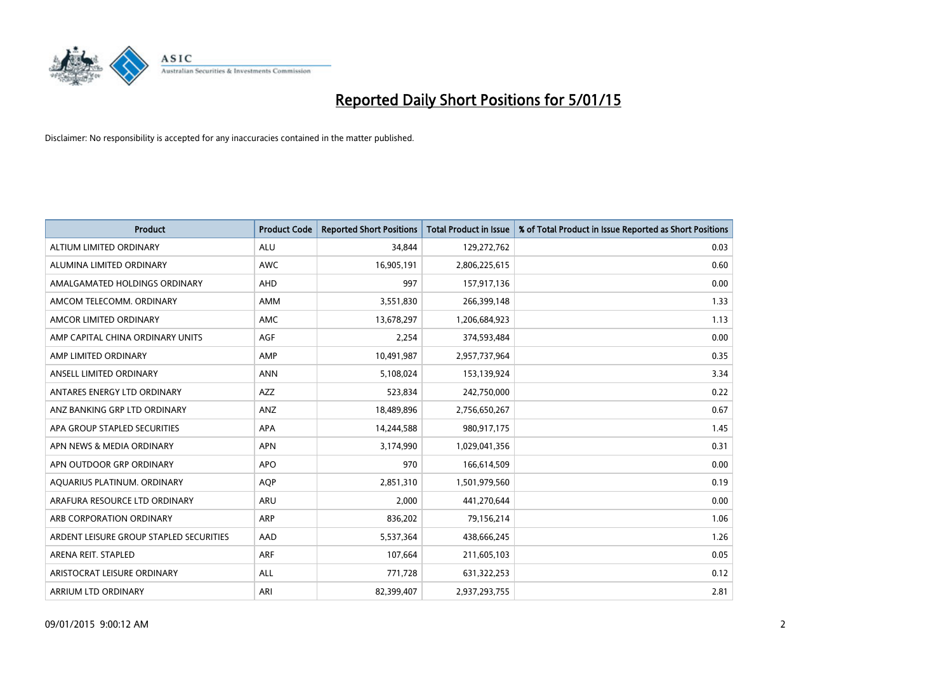

| <b>Product</b>                          | <b>Product Code</b> | <b>Reported Short Positions</b> | <b>Total Product in Issue</b> | % of Total Product in Issue Reported as Short Positions |
|-----------------------------------------|---------------------|---------------------------------|-------------------------------|---------------------------------------------------------|
| ALTIUM LIMITED ORDINARY                 | <b>ALU</b>          | 34,844                          | 129,272,762                   | 0.03                                                    |
| ALUMINA LIMITED ORDINARY                | AWC                 | 16,905,191                      | 2,806,225,615                 | 0.60                                                    |
| AMALGAMATED HOLDINGS ORDINARY           | AHD                 | 997                             | 157,917,136                   | 0.00                                                    |
| AMCOM TELECOMM, ORDINARY                | AMM                 | 3,551,830                       | 266,399,148                   | 1.33                                                    |
| AMCOR LIMITED ORDINARY                  | <b>AMC</b>          | 13,678,297                      | 1,206,684,923                 | 1.13                                                    |
| AMP CAPITAL CHINA ORDINARY UNITS        | AGF                 | 2,254                           | 374,593,484                   | 0.00                                                    |
| AMP LIMITED ORDINARY                    | AMP                 | 10,491,987                      | 2,957,737,964                 | 0.35                                                    |
| ANSELL LIMITED ORDINARY                 | <b>ANN</b>          | 5,108,024                       | 153,139,924                   | 3.34                                                    |
| ANTARES ENERGY LTD ORDINARY             | <b>AZZ</b>          | 523,834                         | 242,750,000                   | 0.22                                                    |
| ANZ BANKING GRP LTD ORDINARY            | ANZ                 | 18,489,896                      | 2,756,650,267                 | 0.67                                                    |
| APA GROUP STAPLED SECURITIES            | APA                 | 14,244,588                      | 980,917,175                   | 1.45                                                    |
| APN NEWS & MEDIA ORDINARY               | <b>APN</b>          | 3,174,990                       | 1,029,041,356                 | 0.31                                                    |
| APN OUTDOOR GRP ORDINARY                | <b>APO</b>          | 970                             | 166,614,509                   | 0.00                                                    |
| AQUARIUS PLATINUM. ORDINARY             | <b>AOP</b>          | 2,851,310                       | 1,501,979,560                 | 0.19                                                    |
| ARAFURA RESOURCE LTD ORDINARY           | ARU                 | 2,000                           | 441,270,644                   | 0.00                                                    |
| ARB CORPORATION ORDINARY                | ARP                 | 836,202                         | 79,156,214                    | 1.06                                                    |
| ARDENT LEISURE GROUP STAPLED SECURITIES | AAD                 | 5,537,364                       | 438,666,245                   | 1.26                                                    |
| ARENA REIT. STAPLED                     | <b>ARF</b>          | 107,664                         | 211,605,103                   | 0.05                                                    |
| ARISTOCRAT LEISURE ORDINARY             | <b>ALL</b>          | 771,728                         | 631,322,253                   | 0.12                                                    |
| ARRIUM LTD ORDINARY                     | ARI                 | 82,399,407                      | 2,937,293,755                 | 2.81                                                    |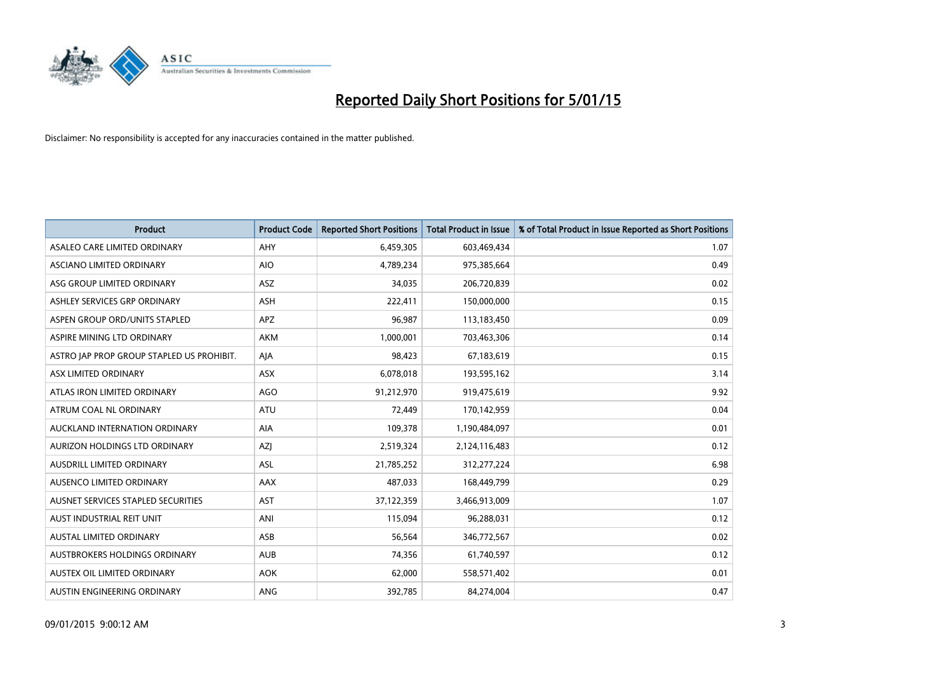

| <b>Product</b>                            | <b>Product Code</b> | <b>Reported Short Positions</b> | <b>Total Product in Issue</b> | % of Total Product in Issue Reported as Short Positions |
|-------------------------------------------|---------------------|---------------------------------|-------------------------------|---------------------------------------------------------|
| ASALEO CARE LIMITED ORDINARY              | AHY                 | 6,459,305                       | 603,469,434                   | 1.07                                                    |
| ASCIANO LIMITED ORDINARY                  | <b>AIO</b>          | 4,789,234                       | 975,385,664                   | 0.49                                                    |
| ASG GROUP LIMITED ORDINARY                | <b>ASZ</b>          | 34,035                          | 206,720,839                   | 0.02                                                    |
| ASHLEY SERVICES GRP ORDINARY              | ASH                 | 222,411                         | 150,000,000                   | 0.15                                                    |
| ASPEN GROUP ORD/UNITS STAPLED             | <b>APZ</b>          | 96,987                          | 113,183,450                   | 0.09                                                    |
| ASPIRE MINING LTD ORDINARY                | <b>AKM</b>          | 1,000,001                       | 703,463,306                   | 0.14                                                    |
| ASTRO JAP PROP GROUP STAPLED US PROHIBIT. | AJA                 | 98,423                          | 67,183,619                    | 0.15                                                    |
| ASX LIMITED ORDINARY                      | ASX                 | 6,078,018                       | 193,595,162                   | 3.14                                                    |
| ATLAS IRON LIMITED ORDINARY               | AGO                 | 91,212,970                      | 919,475,619                   | 9.92                                                    |
| ATRUM COAL NL ORDINARY                    | <b>ATU</b>          | 72,449                          | 170,142,959                   | 0.04                                                    |
| AUCKLAND INTERNATION ORDINARY             | AIA                 | 109,378                         | 1,190,484,097                 | 0.01                                                    |
| AURIZON HOLDINGS LTD ORDINARY             | AZJ                 | 2,519,324                       | 2,124,116,483                 | 0.12                                                    |
| AUSDRILL LIMITED ORDINARY                 | ASL                 | 21,785,252                      | 312,277,224                   | 6.98                                                    |
| AUSENCO LIMITED ORDINARY                  | AAX                 | 487,033                         | 168,449,799                   | 0.29                                                    |
| AUSNET SERVICES STAPLED SECURITIES        | <b>AST</b>          | 37,122,359                      | 3,466,913,009                 | 1.07                                                    |
| AUST INDUSTRIAL REIT UNIT                 | ANI                 | 115,094                         | 96,288,031                    | 0.12                                                    |
| AUSTAL LIMITED ORDINARY                   | ASB                 | 56,564                          | 346,772,567                   | 0.02                                                    |
| AUSTBROKERS HOLDINGS ORDINARY             | <b>AUB</b>          | 74,356                          | 61,740,597                    | 0.12                                                    |
| AUSTEX OIL LIMITED ORDINARY               | <b>AOK</b>          | 62,000                          | 558,571,402                   | 0.01                                                    |
| AUSTIN ENGINEERING ORDINARY               | ANG                 | 392,785                         | 84,274,004                    | 0.47                                                    |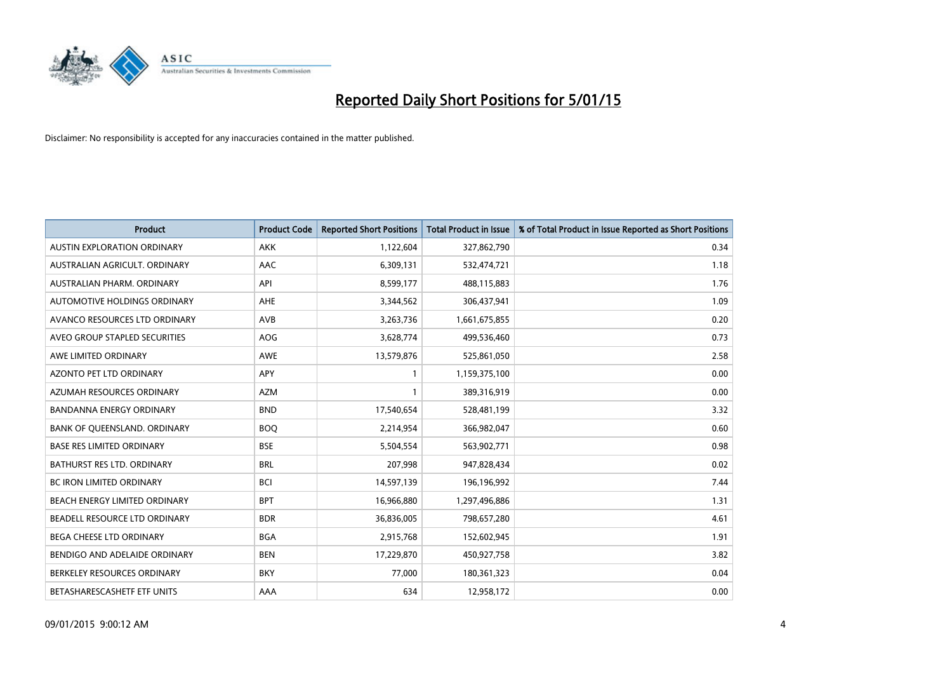

| <b>Product</b>                     | <b>Product Code</b> | <b>Reported Short Positions</b> | <b>Total Product in Issue</b> | % of Total Product in Issue Reported as Short Positions |
|------------------------------------|---------------------|---------------------------------|-------------------------------|---------------------------------------------------------|
| <b>AUSTIN EXPLORATION ORDINARY</b> | <b>AKK</b>          | 1,122,604                       | 327,862,790                   | 0.34                                                    |
| AUSTRALIAN AGRICULT. ORDINARY      | AAC                 | 6,309,131                       | 532,474,721                   | 1.18                                                    |
| AUSTRALIAN PHARM, ORDINARY         | API                 | 8,599,177                       | 488,115,883                   | 1.76                                                    |
| AUTOMOTIVE HOLDINGS ORDINARY       | AHE                 | 3,344,562                       | 306,437,941                   | 1.09                                                    |
| AVANCO RESOURCES LTD ORDINARY      | AVB                 | 3,263,736                       | 1,661,675,855                 | 0.20                                                    |
| AVEO GROUP STAPLED SECURITIES      | AOG                 | 3,628,774                       | 499,536,460                   | 0.73                                                    |
| AWE LIMITED ORDINARY               | <b>AWE</b>          | 13,579,876                      | 525,861,050                   | 2.58                                                    |
| AZONTO PET LTD ORDINARY            | APY                 | $\mathbf{1}$                    | 1,159,375,100                 | 0.00                                                    |
| AZUMAH RESOURCES ORDINARY          | <b>AZM</b>          | $\mathbf{1}$                    | 389,316,919                   | 0.00                                                    |
| <b>BANDANNA ENERGY ORDINARY</b>    | <b>BND</b>          | 17,540,654                      | 528,481,199                   | 3.32                                                    |
| BANK OF QUEENSLAND. ORDINARY       | <b>BOQ</b>          | 2,214,954                       | 366,982,047                   | 0.60                                                    |
| <b>BASE RES LIMITED ORDINARY</b>   | <b>BSE</b>          | 5,504,554                       | 563,902,771                   | 0.98                                                    |
| <b>BATHURST RES LTD. ORDINARY</b>  | <b>BRL</b>          | 207,998                         | 947,828,434                   | 0.02                                                    |
| <b>BC IRON LIMITED ORDINARY</b>    | <b>BCI</b>          | 14,597,139                      | 196,196,992                   | 7.44                                                    |
| BEACH ENERGY LIMITED ORDINARY      | <b>BPT</b>          | 16,966,880                      | 1,297,496,886                 | 1.31                                                    |
| BEADELL RESOURCE LTD ORDINARY      | <b>BDR</b>          | 36,836,005                      | 798,657,280                   | 4.61                                                    |
| BEGA CHEESE LTD ORDINARY           | <b>BGA</b>          | 2,915,768                       | 152,602,945                   | 1.91                                                    |
| BENDIGO AND ADELAIDE ORDINARY      | <b>BEN</b>          | 17,229,870                      | 450,927,758                   | 3.82                                                    |
| BERKELEY RESOURCES ORDINARY        | <b>BKY</b>          | 77,000                          | 180,361,323                   | 0.04                                                    |
| BETASHARESCASHETF ETF UNITS        | AAA                 | 634                             | 12,958,172                    | 0.00                                                    |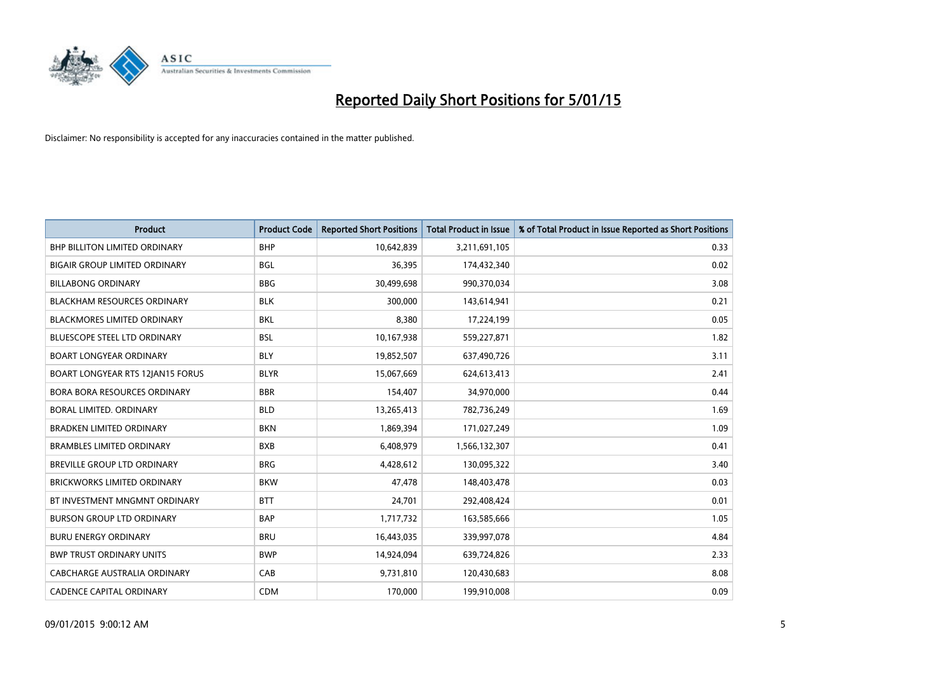

| <b>Product</b>                       | <b>Product Code</b> | <b>Reported Short Positions</b> | <b>Total Product in Issue</b> | % of Total Product in Issue Reported as Short Positions |
|--------------------------------------|---------------------|---------------------------------|-------------------------------|---------------------------------------------------------|
| BHP BILLITON LIMITED ORDINARY        | <b>BHP</b>          | 10,642,839                      | 3,211,691,105                 | 0.33                                                    |
| <b>BIGAIR GROUP LIMITED ORDINARY</b> | <b>BGL</b>          | 36,395                          | 174,432,340                   | 0.02                                                    |
| <b>BILLABONG ORDINARY</b>            | <b>BBG</b>          | 30,499,698                      | 990,370,034                   | 3.08                                                    |
| <b>BLACKHAM RESOURCES ORDINARY</b>   | <b>BLK</b>          | 300,000                         | 143,614,941                   | 0.21                                                    |
| <b>BLACKMORES LIMITED ORDINARY</b>   | <b>BKL</b>          | 8,380                           | 17,224,199                    | 0.05                                                    |
| <b>BLUESCOPE STEEL LTD ORDINARY</b>  | <b>BSL</b>          | 10,167,938                      | 559,227,871                   | 1.82                                                    |
| <b>BOART LONGYEAR ORDINARY</b>       | <b>BLY</b>          | 19,852,507                      | 637,490,726                   | 3.11                                                    |
| BOART LONGYEAR RTS 12JAN15 FORUS     | <b>BLYR</b>         | 15,067,669                      | 624,613,413                   | 2.41                                                    |
| <b>BORA BORA RESOURCES ORDINARY</b>  | <b>BBR</b>          | 154,407                         | 34,970,000                    | 0.44                                                    |
| <b>BORAL LIMITED, ORDINARY</b>       | <b>BLD</b>          | 13,265,413                      | 782,736,249                   | 1.69                                                    |
| <b>BRADKEN LIMITED ORDINARY</b>      | <b>BKN</b>          | 1,869,394                       | 171,027,249                   | 1.09                                                    |
| <b>BRAMBLES LIMITED ORDINARY</b>     | <b>BXB</b>          | 6,408,979                       | 1,566,132,307                 | 0.41                                                    |
| BREVILLE GROUP LTD ORDINARY          | <b>BRG</b>          | 4,428,612                       | 130,095,322                   | 3.40                                                    |
| <b>BRICKWORKS LIMITED ORDINARY</b>   | <b>BKW</b>          | 47,478                          | 148,403,478                   | 0.03                                                    |
| BT INVESTMENT MNGMNT ORDINARY        | <b>BTT</b>          | 24,701                          | 292,408,424                   | 0.01                                                    |
| <b>BURSON GROUP LTD ORDINARY</b>     | <b>BAP</b>          | 1,717,732                       | 163,585,666                   | 1.05                                                    |
| <b>BURU ENERGY ORDINARY</b>          | <b>BRU</b>          | 16,443,035                      | 339,997,078                   | 4.84                                                    |
| <b>BWP TRUST ORDINARY UNITS</b>      | <b>BWP</b>          | 14,924,094                      | 639,724,826                   | 2.33                                                    |
| CABCHARGE AUSTRALIA ORDINARY         | CAB                 | 9,731,810                       | 120,430,683                   | 8.08                                                    |
| <b>CADENCE CAPITAL ORDINARY</b>      | <b>CDM</b>          | 170,000                         | 199,910,008                   | 0.09                                                    |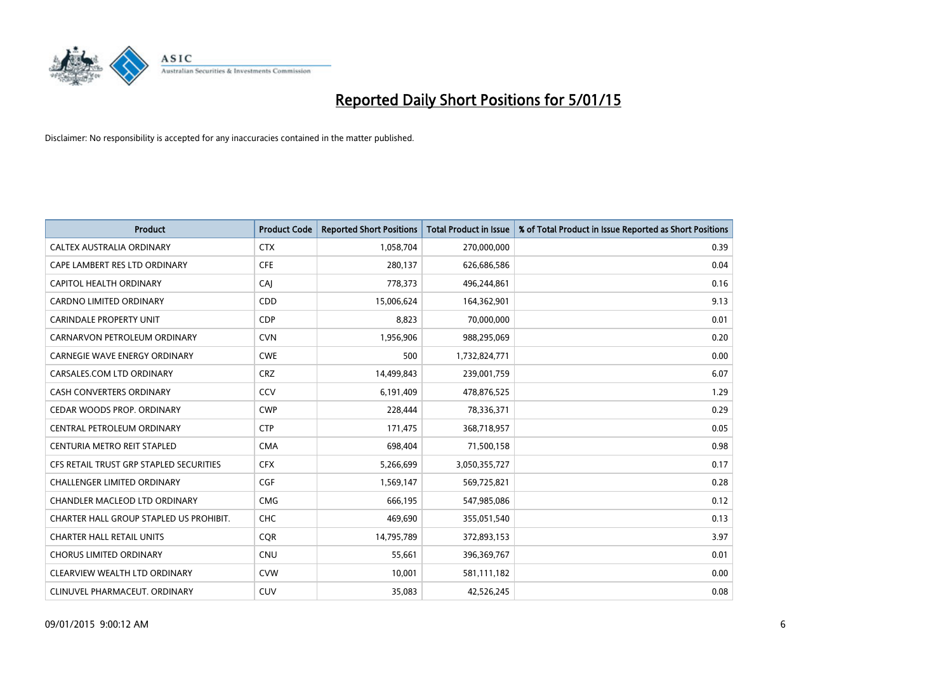

| <b>Product</b>                          | <b>Product Code</b> | <b>Reported Short Positions</b> | <b>Total Product in Issue</b> | % of Total Product in Issue Reported as Short Positions |
|-----------------------------------------|---------------------|---------------------------------|-------------------------------|---------------------------------------------------------|
| CALTEX AUSTRALIA ORDINARY               | <b>CTX</b>          | 1,058,704                       | 270,000,000                   | 0.39                                                    |
| CAPE LAMBERT RES LTD ORDINARY           | <b>CFE</b>          | 280,137                         | 626,686,586                   | 0.04                                                    |
| CAPITOL HEALTH ORDINARY                 | CAJ                 | 778,373                         | 496,244,861                   | 0.16                                                    |
| CARDNO LIMITED ORDINARY                 | CDD                 | 15,006,624                      | 164,362,901                   | 9.13                                                    |
| <b>CARINDALE PROPERTY UNIT</b>          | <b>CDP</b>          | 8,823                           | 70,000,000                    | 0.01                                                    |
| CARNARVON PETROLEUM ORDINARY            | <b>CVN</b>          | 1,956,906                       | 988,295,069                   | 0.20                                                    |
| <b>CARNEGIE WAVE ENERGY ORDINARY</b>    | <b>CWE</b>          | 500                             | 1,732,824,771                 | 0.00                                                    |
| CARSALES.COM LTD ORDINARY               | <b>CRZ</b>          | 14,499,843                      | 239,001,759                   | 6.07                                                    |
| <b>CASH CONVERTERS ORDINARY</b>         | CCV                 | 6,191,409                       | 478,876,525                   | 1.29                                                    |
| CEDAR WOODS PROP. ORDINARY              | <b>CWP</b>          | 228,444                         | 78,336,371                    | 0.29                                                    |
| CENTRAL PETROLEUM ORDINARY              | <b>CTP</b>          | 171,475                         | 368,718,957                   | 0.05                                                    |
| CENTURIA METRO REIT STAPLED             | <b>CMA</b>          | 698,404                         | 71,500,158                    | 0.98                                                    |
| CFS RETAIL TRUST GRP STAPLED SECURITIES | <b>CFX</b>          | 5,266,699                       | 3,050,355,727                 | 0.17                                                    |
| <b>CHALLENGER LIMITED ORDINARY</b>      | <b>CGF</b>          | 1,569,147                       | 569,725,821                   | 0.28                                                    |
| <b>CHANDLER MACLEOD LTD ORDINARY</b>    | <b>CMG</b>          | 666,195                         | 547,985,086                   | 0.12                                                    |
| CHARTER HALL GROUP STAPLED US PROHIBIT. | <b>CHC</b>          | 469,690                         | 355,051,540                   | 0.13                                                    |
| <b>CHARTER HALL RETAIL UNITS</b>        | <b>CQR</b>          | 14,795,789                      | 372,893,153                   | 3.97                                                    |
| <b>CHORUS LIMITED ORDINARY</b>          | <b>CNU</b>          | 55,661                          | 396,369,767                   | 0.01                                                    |
| CLEARVIEW WEALTH LTD ORDINARY           | <b>CVW</b>          | 10,001                          | 581,111,182                   | 0.00                                                    |
| CLINUVEL PHARMACEUT. ORDINARY           | <b>CUV</b>          | 35,083                          | 42,526,245                    | 0.08                                                    |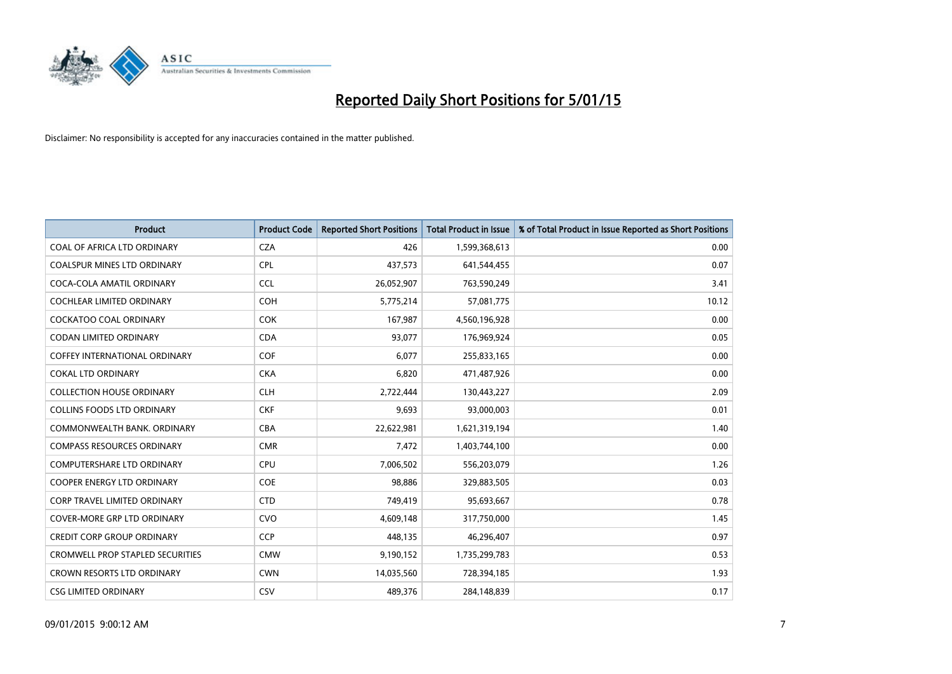

| <b>Product</b>                          | <b>Product Code</b> | <b>Reported Short Positions</b> | <b>Total Product in Issue</b> | % of Total Product in Issue Reported as Short Positions |
|-----------------------------------------|---------------------|---------------------------------|-------------------------------|---------------------------------------------------------|
| COAL OF AFRICA LTD ORDINARY             | <b>CZA</b>          | 426                             | 1,599,368,613                 | 0.00                                                    |
| COALSPUR MINES LTD ORDINARY             | <b>CPL</b>          | 437,573                         | 641,544,455                   | 0.07                                                    |
| COCA-COLA AMATIL ORDINARY               | <b>CCL</b>          | 26,052,907                      | 763,590,249                   | 3.41                                                    |
| <b>COCHLEAR LIMITED ORDINARY</b>        | <b>COH</b>          | 5,775,214                       | 57,081,775                    | 10.12                                                   |
| <b>COCKATOO COAL ORDINARY</b>           | <b>COK</b>          | 167,987                         | 4,560,196,928                 | 0.00                                                    |
| <b>CODAN LIMITED ORDINARY</b>           | <b>CDA</b>          | 93,077                          | 176,969,924                   | 0.05                                                    |
| <b>COFFEY INTERNATIONAL ORDINARY</b>    | <b>COF</b>          | 6,077                           | 255,833,165                   | 0.00                                                    |
| <b>COKAL LTD ORDINARY</b>               | <b>CKA</b>          | 6,820                           | 471,487,926                   | 0.00                                                    |
| <b>COLLECTION HOUSE ORDINARY</b>        | <b>CLH</b>          | 2,722,444                       | 130,443,227                   | 2.09                                                    |
| <b>COLLINS FOODS LTD ORDINARY</b>       | <b>CKF</b>          | 9,693                           | 93,000,003                    | 0.01                                                    |
| COMMONWEALTH BANK, ORDINARY             | <b>CBA</b>          | 22,622,981                      | 1,621,319,194                 | 1.40                                                    |
| <b>COMPASS RESOURCES ORDINARY</b>       | <b>CMR</b>          | 7,472                           | 1,403,744,100                 | 0.00                                                    |
| <b>COMPUTERSHARE LTD ORDINARY</b>       | <b>CPU</b>          | 7,006,502                       | 556,203,079                   | 1.26                                                    |
| <b>COOPER ENERGY LTD ORDINARY</b>       | <b>COE</b>          | 98,886                          | 329,883,505                   | 0.03                                                    |
| <b>CORP TRAVEL LIMITED ORDINARY</b>     | <b>CTD</b>          | 749,419                         | 95,693,667                    | 0.78                                                    |
| COVER-MORE GRP LTD ORDINARY             | <b>CVO</b>          | 4,609,148                       | 317,750,000                   | 1.45                                                    |
| <b>CREDIT CORP GROUP ORDINARY</b>       | <b>CCP</b>          | 448,135                         | 46,296,407                    | 0.97                                                    |
| <b>CROMWELL PROP STAPLED SECURITIES</b> | <b>CMW</b>          | 9,190,152                       | 1,735,299,783                 | 0.53                                                    |
| <b>CROWN RESORTS LTD ORDINARY</b>       | <b>CWN</b>          | 14,035,560                      | 728,394,185                   | 1.93                                                    |
| <b>CSG LIMITED ORDINARY</b>             | CSV                 | 489,376                         | 284,148,839                   | 0.17                                                    |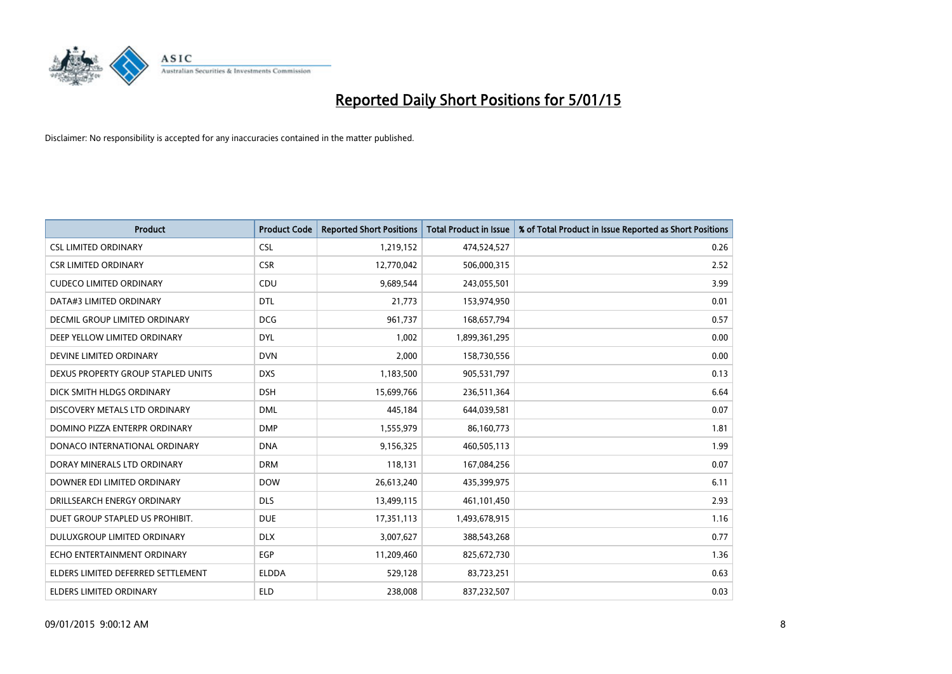

| <b>Product</b>                       | <b>Product Code</b> | <b>Reported Short Positions</b> | <b>Total Product in Issue</b> | % of Total Product in Issue Reported as Short Positions |
|--------------------------------------|---------------------|---------------------------------|-------------------------------|---------------------------------------------------------|
| <b>CSL LIMITED ORDINARY</b>          | <b>CSL</b>          | 1,219,152                       | 474,524,527                   | 0.26                                                    |
| <b>CSR LIMITED ORDINARY</b>          | <b>CSR</b>          | 12,770,042                      | 506,000,315                   | 2.52                                                    |
| <b>CUDECO LIMITED ORDINARY</b>       | CDU                 | 9,689,544                       | 243,055,501                   | 3.99                                                    |
| DATA#3 LIMITED ORDINARY              | <b>DTL</b>          | 21,773                          | 153,974,950                   | 0.01                                                    |
| <b>DECMIL GROUP LIMITED ORDINARY</b> | <b>DCG</b>          | 961,737                         | 168,657,794                   | 0.57                                                    |
| DEEP YELLOW LIMITED ORDINARY         | <b>DYL</b>          | 1,002                           | 1,899,361,295                 | 0.00                                                    |
| DEVINE LIMITED ORDINARY              | <b>DVN</b>          | 2,000                           | 158,730,556                   | 0.00                                                    |
| DEXUS PROPERTY GROUP STAPLED UNITS   | <b>DXS</b>          | 1,183,500                       | 905,531,797                   | 0.13                                                    |
| DICK SMITH HLDGS ORDINARY            | <b>DSH</b>          | 15,699,766                      | 236,511,364                   | 6.64                                                    |
| DISCOVERY METALS LTD ORDINARY        | <b>DML</b>          | 445,184                         | 644,039,581                   | 0.07                                                    |
| DOMINO PIZZA ENTERPR ORDINARY        | <b>DMP</b>          | 1,555,979                       | 86,160,773                    | 1.81                                                    |
| DONACO INTERNATIONAL ORDINARY        | <b>DNA</b>          | 9,156,325                       | 460,505,113                   | 1.99                                                    |
| DORAY MINERALS LTD ORDINARY          | <b>DRM</b>          | 118,131                         | 167,084,256                   | 0.07                                                    |
| DOWNER EDI LIMITED ORDINARY          | <b>DOW</b>          | 26,613,240                      | 435,399,975                   | 6.11                                                    |
| DRILLSEARCH ENERGY ORDINARY          | <b>DLS</b>          | 13,499,115                      | 461,101,450                   | 2.93                                                    |
| DUET GROUP STAPLED US PROHIBIT.      | <b>DUE</b>          | 17,351,113                      | 1,493,678,915                 | 1.16                                                    |
| DULUXGROUP LIMITED ORDINARY          | <b>DLX</b>          | 3,007,627                       | 388,543,268                   | 0.77                                                    |
| ECHO ENTERTAINMENT ORDINARY          | <b>EGP</b>          | 11,209,460                      | 825,672,730                   | 1.36                                                    |
| ELDERS LIMITED DEFERRED SETTLEMENT   | <b>ELDDA</b>        | 529,128                         | 83,723,251                    | 0.63                                                    |
| ELDERS LIMITED ORDINARY              | <b>ELD</b>          | 238,008                         | 837,232,507                   | 0.03                                                    |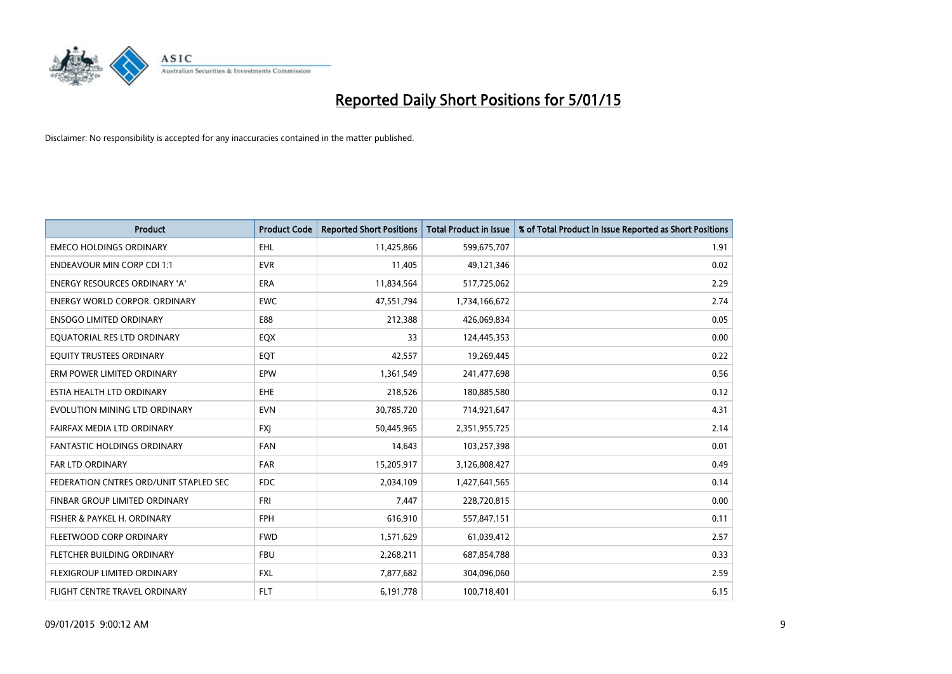

| <b>Product</b>                         | <b>Product Code</b> | <b>Reported Short Positions</b> | <b>Total Product in Issue</b> | % of Total Product in Issue Reported as Short Positions |
|----------------------------------------|---------------------|---------------------------------|-------------------------------|---------------------------------------------------------|
| <b>EMECO HOLDINGS ORDINARY</b>         | <b>EHL</b>          | 11,425,866                      | 599,675,707                   | 1.91                                                    |
| <b>ENDEAVOUR MIN CORP CDI 1:1</b>      | <b>EVR</b>          | 11,405                          | 49,121,346                    | 0.02                                                    |
| <b>ENERGY RESOURCES ORDINARY 'A'</b>   | <b>ERA</b>          | 11,834,564                      | 517,725,062                   | 2.29                                                    |
| ENERGY WORLD CORPOR. ORDINARY          | <b>EWC</b>          | 47,551,794                      | 1,734,166,672                 | 2.74                                                    |
| <b>ENSOGO LIMITED ORDINARY</b>         | E88                 | 212,388                         | 426,069,834                   | 0.05                                                    |
| EQUATORIAL RES LTD ORDINARY            | EQX                 | 33                              | 124,445,353                   | 0.00                                                    |
| EQUITY TRUSTEES ORDINARY               | EQT                 | 42,557                          | 19,269,445                    | 0.22                                                    |
| ERM POWER LIMITED ORDINARY             | EPW                 | 1,361,549                       | 241,477,698                   | 0.56                                                    |
| ESTIA HEALTH LTD ORDINARY              | EHE                 | 218,526                         | 180,885,580                   | 0.12                                                    |
| EVOLUTION MINING LTD ORDINARY          | <b>EVN</b>          | 30,785,720                      | 714,921,647                   | 4.31                                                    |
| FAIRFAX MEDIA LTD ORDINARY             | <b>FXI</b>          | 50,445,965                      | 2,351,955,725                 | 2.14                                                    |
| <b>FANTASTIC HOLDINGS ORDINARY</b>     | <b>FAN</b>          | 14,643                          | 103,257,398                   | 0.01                                                    |
| FAR LTD ORDINARY                       | FAR                 | 15,205,917                      | 3,126,808,427                 | 0.49                                                    |
| FEDERATION CNTRES ORD/UNIT STAPLED SEC | <b>FDC</b>          | 2,034,109                       | 1,427,641,565                 | 0.14                                                    |
| FINBAR GROUP LIMITED ORDINARY          | <b>FRI</b>          | 7,447                           | 228,720,815                   | 0.00                                                    |
| FISHER & PAYKEL H. ORDINARY            | <b>FPH</b>          | 616,910                         | 557,847,151                   | 0.11                                                    |
| FLEETWOOD CORP ORDINARY                | <b>FWD</b>          | 1,571,629                       | 61,039,412                    | 2.57                                                    |
| FLETCHER BUILDING ORDINARY             | <b>FBU</b>          | 2,268,211                       | 687,854,788                   | 0.33                                                    |
| FLEXIGROUP LIMITED ORDINARY            | <b>FXL</b>          | 7,877,682                       | 304,096,060                   | 2.59                                                    |
| FLIGHT CENTRE TRAVEL ORDINARY          | <b>FLT</b>          | 6,191,778                       | 100,718,401                   | 6.15                                                    |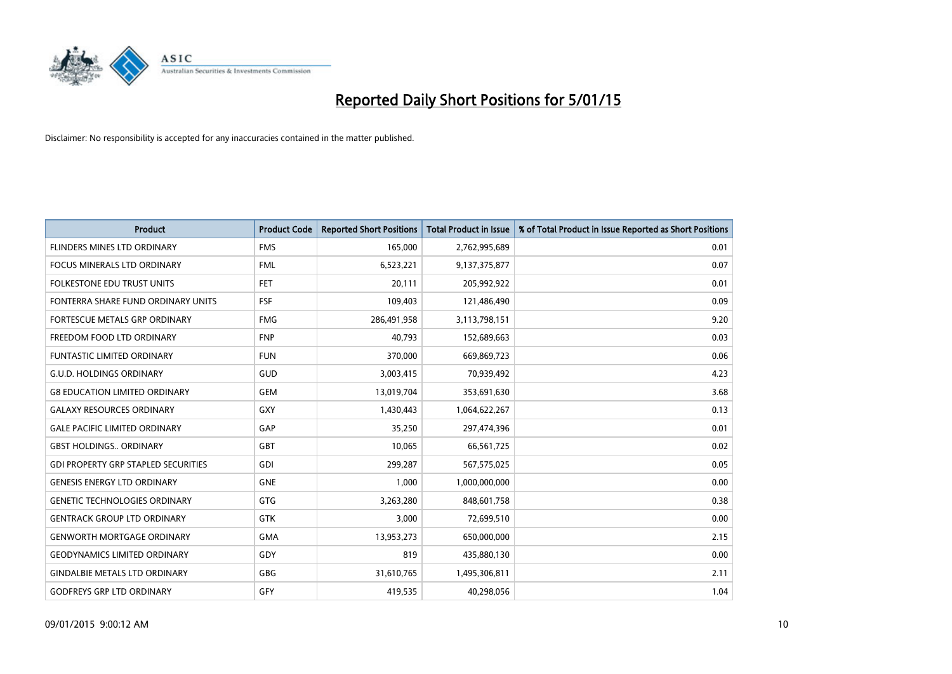

| <b>Product</b>                             | <b>Product Code</b> | <b>Reported Short Positions</b> | <b>Total Product in Issue</b> | % of Total Product in Issue Reported as Short Positions |
|--------------------------------------------|---------------------|---------------------------------|-------------------------------|---------------------------------------------------------|
| FLINDERS MINES LTD ORDINARY                | <b>FMS</b>          | 165,000                         | 2,762,995,689                 | 0.01                                                    |
| <b>FOCUS MINERALS LTD ORDINARY</b>         | <b>FML</b>          | 6,523,221                       | 9,137,375,877                 | 0.07                                                    |
| <b>FOLKESTONE EDU TRUST UNITS</b>          | <b>FET</b>          | 20,111                          | 205,992,922                   | 0.01                                                    |
| FONTERRA SHARE FUND ORDINARY UNITS         | <b>FSF</b>          | 109,403                         | 121,486,490                   | 0.09                                                    |
| <b>FORTESCUE METALS GRP ORDINARY</b>       | <b>FMG</b>          | 286,491,958                     | 3,113,798,151                 | 9.20                                                    |
| FREEDOM FOOD LTD ORDINARY                  | <b>FNP</b>          | 40,793                          | 152,689,663                   | 0.03                                                    |
| <b>FUNTASTIC LIMITED ORDINARY</b>          | <b>FUN</b>          | 370,000                         | 669,869,723                   | 0.06                                                    |
| <b>G.U.D. HOLDINGS ORDINARY</b>            | GUD                 | 3,003,415                       | 70,939,492                    | 4.23                                                    |
| <b>G8 EDUCATION LIMITED ORDINARY</b>       | <b>GEM</b>          | 13,019,704                      | 353,691,630                   | 3.68                                                    |
| <b>GALAXY RESOURCES ORDINARY</b>           | GXY                 | 1,430,443                       | 1,064,622,267                 | 0.13                                                    |
| <b>GALE PACIFIC LIMITED ORDINARY</b>       | GAP                 | 35,250                          | 297,474,396                   | 0.01                                                    |
| <b>GBST HOLDINGS., ORDINARY</b>            | <b>GBT</b>          | 10,065                          | 66,561,725                    | 0.02                                                    |
| <b>GDI PROPERTY GRP STAPLED SECURITIES</b> | GDI                 | 299,287                         | 567,575,025                   | 0.05                                                    |
| <b>GENESIS ENERGY LTD ORDINARY</b>         | <b>GNE</b>          | 1,000                           | 1,000,000,000                 | 0.00                                                    |
| <b>GENETIC TECHNOLOGIES ORDINARY</b>       | GTG                 | 3,263,280                       | 848,601,758                   | 0.38                                                    |
| <b>GENTRACK GROUP LTD ORDINARY</b>         | GTK                 | 3,000                           | 72,699,510                    | 0.00                                                    |
| <b>GENWORTH MORTGAGE ORDINARY</b>          | <b>GMA</b>          | 13,953,273                      | 650,000,000                   | 2.15                                                    |
| <b>GEODYNAMICS LIMITED ORDINARY</b>        | GDY                 | 819                             | 435,880,130                   | 0.00                                                    |
| <b>GINDALBIE METALS LTD ORDINARY</b>       | <b>GBG</b>          | 31,610,765                      | 1,495,306,811                 | 2.11                                                    |
| <b>GODFREYS GRP LTD ORDINARY</b>           | GFY                 | 419,535                         | 40,298,056                    | 1.04                                                    |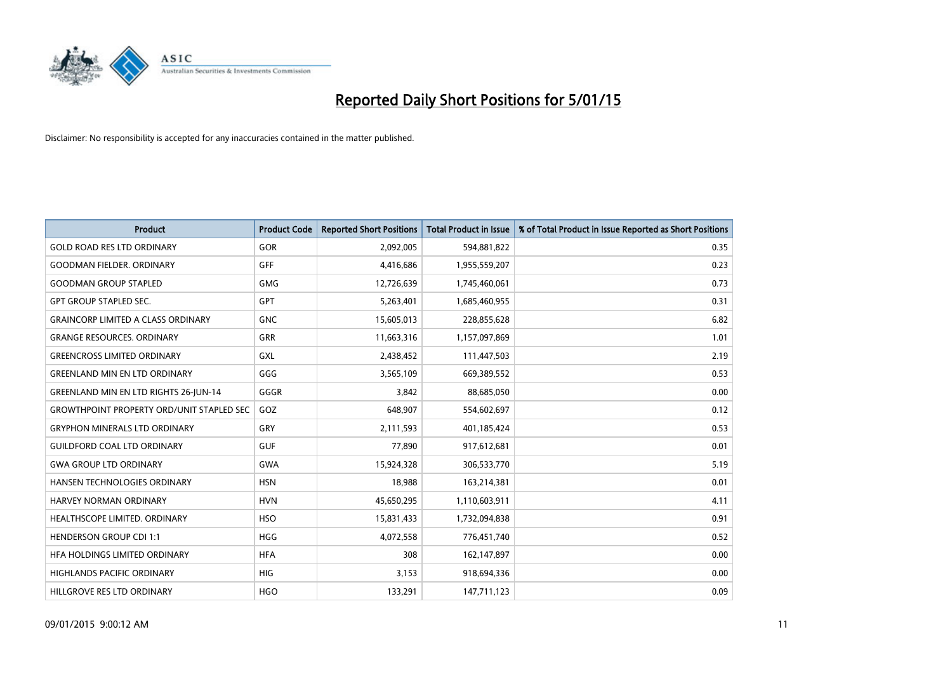

| <b>Product</b>                                   | <b>Product Code</b> | <b>Reported Short Positions</b> | <b>Total Product in Issue</b> | % of Total Product in Issue Reported as Short Positions |
|--------------------------------------------------|---------------------|---------------------------------|-------------------------------|---------------------------------------------------------|
| <b>GOLD ROAD RES LTD ORDINARY</b>                | <b>GOR</b>          | 2,092,005                       | 594,881,822                   | 0.35                                                    |
| <b>GOODMAN FIELDER, ORDINARY</b>                 | <b>GFF</b>          | 4,416,686                       | 1,955,559,207                 | 0.23                                                    |
| <b>GOODMAN GROUP STAPLED</b>                     | <b>GMG</b>          | 12,726,639                      | 1,745,460,061                 | 0.73                                                    |
| <b>GPT GROUP STAPLED SEC.</b>                    | <b>GPT</b>          | 5,263,401                       | 1,685,460,955                 | 0.31                                                    |
| <b>GRAINCORP LIMITED A CLASS ORDINARY</b>        | <b>GNC</b>          | 15,605,013                      | 228,855,628                   | 6.82                                                    |
| <b>GRANGE RESOURCES, ORDINARY</b>                | <b>GRR</b>          | 11,663,316                      | 1,157,097,869                 | 1.01                                                    |
| <b>GREENCROSS LIMITED ORDINARY</b>               | <b>GXL</b>          | 2,438,452                       | 111,447,503                   | 2.19                                                    |
| <b>GREENLAND MIN EN LTD ORDINARY</b>             | GGG                 | 3,565,109                       | 669,389,552                   | 0.53                                                    |
| GREENLAND MIN EN LTD RIGHTS 26-JUN-14            | GGGR                | 3,842                           | 88,685,050                    | 0.00                                                    |
| <b>GROWTHPOINT PROPERTY ORD/UNIT STAPLED SEC</b> | GOZ                 | 648,907                         | 554,602,697                   | 0.12                                                    |
| <b>GRYPHON MINERALS LTD ORDINARY</b>             | GRY                 | 2,111,593                       | 401,185,424                   | 0.53                                                    |
| <b>GUILDFORD COAL LTD ORDINARY</b>               | <b>GUF</b>          | 77,890                          | 917,612,681                   | 0.01                                                    |
| <b>GWA GROUP LTD ORDINARY</b>                    | <b>GWA</b>          | 15,924,328                      | 306,533,770                   | 5.19                                                    |
| HANSEN TECHNOLOGIES ORDINARY                     | <b>HSN</b>          | 18,988                          | 163,214,381                   | 0.01                                                    |
| HARVEY NORMAN ORDINARY                           | <b>HVN</b>          | 45,650,295                      | 1,110,603,911                 | 4.11                                                    |
| HEALTHSCOPE LIMITED. ORDINARY                    | <b>HSO</b>          | 15,831,433                      | 1,732,094,838                 | 0.91                                                    |
| <b>HENDERSON GROUP CDI 1:1</b>                   | <b>HGG</b>          | 4,072,558                       | 776,451,740                   | 0.52                                                    |
| HFA HOLDINGS LIMITED ORDINARY                    | <b>HFA</b>          | 308                             | 162,147,897                   | 0.00                                                    |
| <b>HIGHLANDS PACIFIC ORDINARY</b>                | <b>HIG</b>          | 3,153                           | 918,694,336                   | 0.00                                                    |
| HILLGROVE RES LTD ORDINARY                       | <b>HGO</b>          | 133,291                         | 147,711,123                   | 0.09                                                    |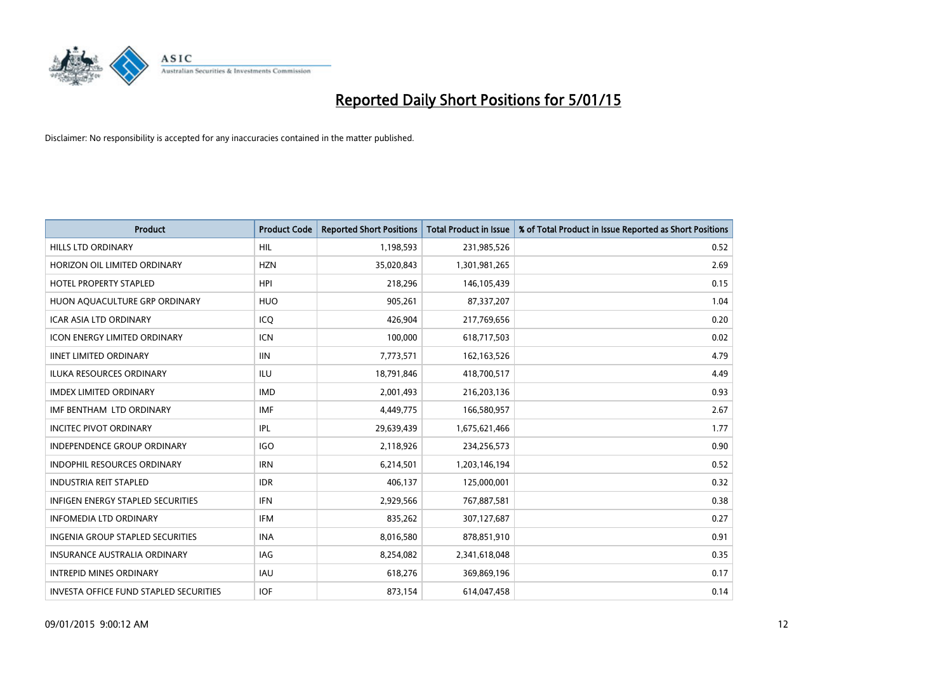

| <b>Product</b>                                | <b>Product Code</b> | <b>Reported Short Positions</b> | <b>Total Product in Issue</b> | % of Total Product in Issue Reported as Short Positions |
|-----------------------------------------------|---------------------|---------------------------------|-------------------------------|---------------------------------------------------------|
| <b>HILLS LTD ORDINARY</b>                     | HIL.                | 1,198,593                       | 231,985,526                   | 0.52                                                    |
| HORIZON OIL LIMITED ORDINARY                  | <b>HZN</b>          | 35,020,843                      | 1,301,981,265                 | 2.69                                                    |
| <b>HOTEL PROPERTY STAPLED</b>                 | <b>HPI</b>          | 218,296                         | 146,105,439                   | 0.15                                                    |
| HUON AQUACULTURE GRP ORDINARY                 | <b>HUO</b>          | 905,261                         | 87,337,207                    | 1.04                                                    |
| <b>ICAR ASIA LTD ORDINARY</b>                 | ICO                 | 426,904                         | 217,769,656                   | 0.20                                                    |
| <b>ICON ENERGY LIMITED ORDINARY</b>           | <b>ICN</b>          | 100,000                         | 618,717,503                   | 0.02                                                    |
| <b>IINET LIMITED ORDINARY</b>                 | <b>IIN</b>          | 7,773,571                       | 162, 163, 526                 | 4.79                                                    |
| ILUKA RESOURCES ORDINARY                      | ILU                 | 18,791,846                      | 418,700,517                   | 4.49                                                    |
| <b>IMDEX LIMITED ORDINARY</b>                 | <b>IMD</b>          | 2,001,493                       | 216,203,136                   | 0.93                                                    |
| IMF BENTHAM LTD ORDINARY                      | <b>IMF</b>          | 4,449,775                       | 166,580,957                   | 2.67                                                    |
| <b>INCITEC PIVOT ORDINARY</b>                 | IPL                 | 29,639,439                      | 1,675,621,466                 | 1.77                                                    |
| <b>INDEPENDENCE GROUP ORDINARY</b>            | <b>IGO</b>          | 2,118,926                       | 234,256,573                   | 0.90                                                    |
| <b>INDOPHIL RESOURCES ORDINARY</b>            | <b>IRN</b>          | 6,214,501                       | 1,203,146,194                 | 0.52                                                    |
| <b>INDUSTRIA REIT STAPLED</b>                 | <b>IDR</b>          | 406,137                         | 125,000,001                   | 0.32                                                    |
| <b>INFIGEN ENERGY STAPLED SECURITIES</b>      | <b>IFN</b>          | 2,929,566                       | 767,887,581                   | 0.38                                                    |
| <b>INFOMEDIA LTD ORDINARY</b>                 | IFM                 | 835,262                         | 307,127,687                   | 0.27                                                    |
| <b>INGENIA GROUP STAPLED SECURITIES</b>       | <b>INA</b>          | 8,016,580                       | 878,851,910                   | 0.91                                                    |
| <b>INSURANCE AUSTRALIA ORDINARY</b>           | IAG                 | 8,254,082                       | 2,341,618,048                 | 0.35                                                    |
| <b>INTREPID MINES ORDINARY</b>                | <b>IAU</b>          | 618,276                         | 369,869,196                   | 0.17                                                    |
| <b>INVESTA OFFICE FUND STAPLED SECURITIES</b> | <b>IOF</b>          | 873,154                         | 614,047,458                   | 0.14                                                    |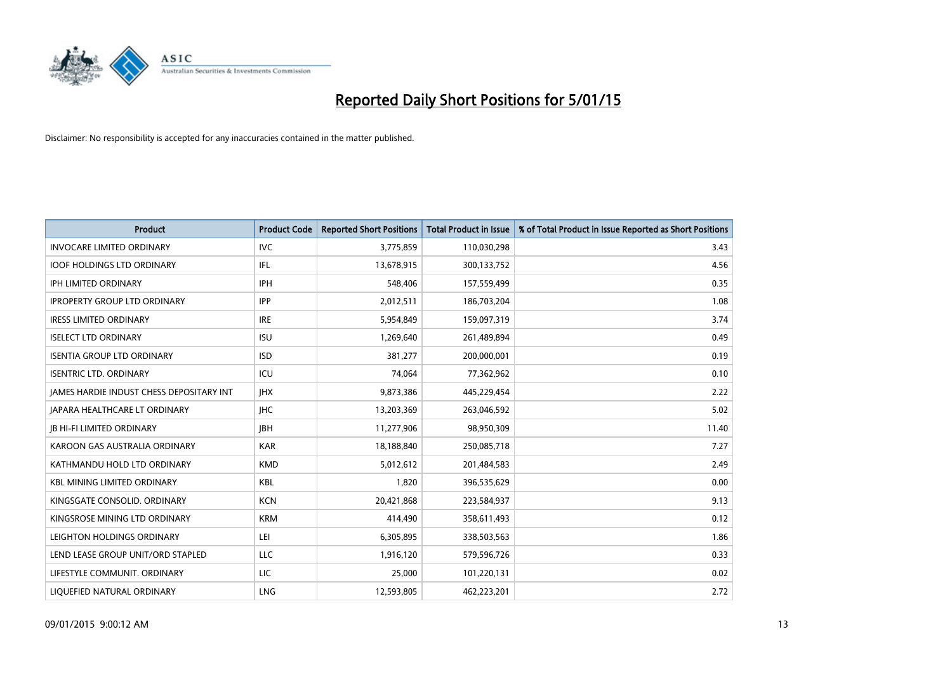

| <b>Product</b>                           | <b>Product Code</b> | <b>Reported Short Positions</b> | <b>Total Product in Issue</b> | % of Total Product in Issue Reported as Short Positions |
|------------------------------------------|---------------------|---------------------------------|-------------------------------|---------------------------------------------------------|
| <b>INVOCARE LIMITED ORDINARY</b>         | <b>IVC</b>          | 3,775,859                       | 110,030,298                   | 3.43                                                    |
| <b>IOOF HOLDINGS LTD ORDINARY</b>        | IFL                 | 13,678,915                      | 300,133,752                   | 4.56                                                    |
| <b>IPH LIMITED ORDINARY</b>              | <b>IPH</b>          | 548,406                         | 157,559,499                   | 0.35                                                    |
| <b>IPROPERTY GROUP LTD ORDINARY</b>      | <b>IPP</b>          | 2,012,511                       | 186,703,204                   | 1.08                                                    |
| <b>IRESS LIMITED ORDINARY</b>            | <b>IRE</b>          | 5,954,849                       | 159,097,319                   | 3.74                                                    |
| <b>ISELECT LTD ORDINARY</b>              | <b>ISU</b>          | 1,269,640                       | 261,489,894                   | 0.49                                                    |
| <b>ISENTIA GROUP LTD ORDINARY</b>        | <b>ISD</b>          | 381,277                         | 200,000,001                   | 0.19                                                    |
| <b>ISENTRIC LTD. ORDINARY</b>            | ICU                 | 74,064                          | 77,362,962                    | 0.10                                                    |
| JAMES HARDIE INDUST CHESS DEPOSITARY INT | <b>IHX</b>          | 9,873,386                       | 445,229,454                   | 2.22                                                    |
| <b>JAPARA HEALTHCARE LT ORDINARY</b>     | <b>IHC</b>          | 13,203,369                      | 263,046,592                   | 5.02                                                    |
| <b>JB HI-FI LIMITED ORDINARY</b>         | <b>IBH</b>          | 11,277,906                      | 98,950,309                    | 11.40                                                   |
| KAROON GAS AUSTRALIA ORDINARY            | <b>KAR</b>          | 18,188,840                      | 250,085,718                   | 7.27                                                    |
| KATHMANDU HOLD LTD ORDINARY              | <b>KMD</b>          | 5,012,612                       | 201,484,583                   | 2.49                                                    |
| <b>KBL MINING LIMITED ORDINARY</b>       | KBL                 | 1,820                           | 396,535,629                   | 0.00                                                    |
| KINGSGATE CONSOLID. ORDINARY             | <b>KCN</b>          | 20,421,868                      | 223,584,937                   | 9.13                                                    |
| KINGSROSE MINING LTD ORDINARY            | <b>KRM</b>          | 414,490                         | 358,611,493                   | 0.12                                                    |
| LEIGHTON HOLDINGS ORDINARY               | LEI                 | 6,305,895                       | 338,503,563                   | 1.86                                                    |
| LEND LEASE GROUP UNIT/ORD STAPLED        | <b>LLC</b>          | 1,916,120                       | 579,596,726                   | 0.33                                                    |
| LIFESTYLE COMMUNIT, ORDINARY             | LIC                 | 25,000                          | 101,220,131                   | 0.02                                                    |
| LIQUEFIED NATURAL ORDINARY               | LNG                 | 12,593,805                      | 462,223,201                   | 2.72                                                    |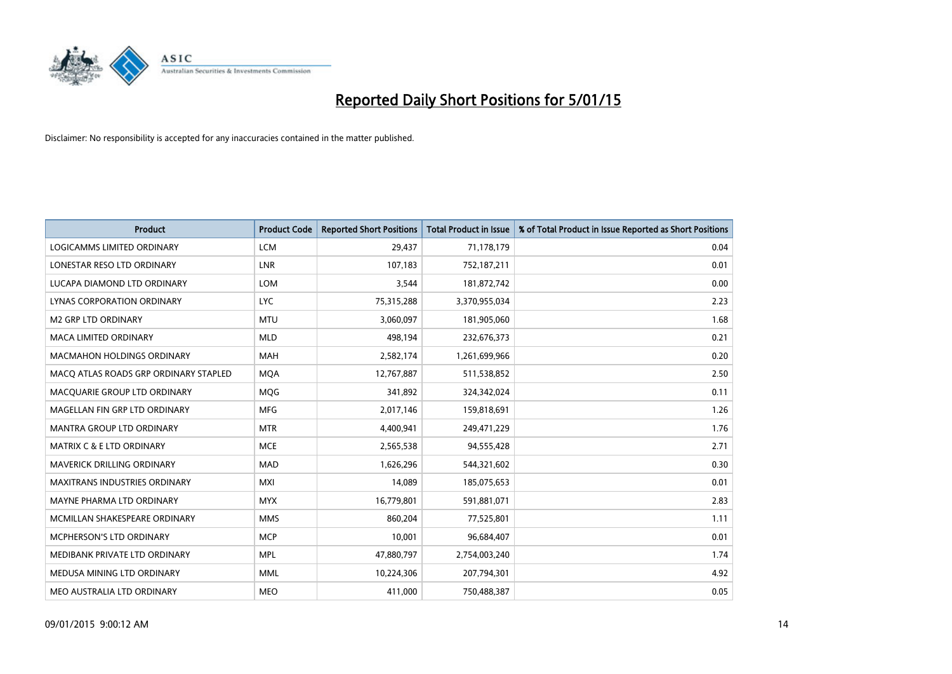

| <b>Product</b>                        | <b>Product Code</b> | <b>Reported Short Positions</b> | <b>Total Product in Issue</b> | % of Total Product in Issue Reported as Short Positions |
|---------------------------------------|---------------------|---------------------------------|-------------------------------|---------------------------------------------------------|
| <b>LOGICAMMS LIMITED ORDINARY</b>     | <b>LCM</b>          | 29,437                          | 71,178,179                    | 0.04                                                    |
| LONESTAR RESO LTD ORDINARY            | LNR                 | 107,183                         | 752,187,211                   | 0.01                                                    |
| LUCAPA DIAMOND LTD ORDINARY           | <b>LOM</b>          | 3,544                           | 181,872,742                   | 0.00                                                    |
| LYNAS CORPORATION ORDINARY            | <b>LYC</b>          | 75,315,288                      | 3,370,955,034                 | 2.23                                                    |
| <b>M2 GRP LTD ORDINARY</b>            | <b>MTU</b>          | 3,060,097                       | 181,905,060                   | 1.68                                                    |
| <b>MACA LIMITED ORDINARY</b>          | <b>MLD</b>          | 498,194                         | 232,676,373                   | 0.21                                                    |
| <b>MACMAHON HOLDINGS ORDINARY</b>     | MAH                 | 2,582,174                       | 1,261,699,966                 | 0.20                                                    |
| MACO ATLAS ROADS GRP ORDINARY STAPLED | <b>MOA</b>          | 12,767,887                      | 511,538,852                   | 2.50                                                    |
| MACQUARIE GROUP LTD ORDINARY          | MQG                 | 341,892                         | 324,342,024                   | 0.11                                                    |
| MAGELLAN FIN GRP LTD ORDINARY         | <b>MFG</b>          | 2,017,146                       | 159,818,691                   | 1.26                                                    |
| MANTRA GROUP LTD ORDINARY             | <b>MTR</b>          | 4,400,941                       | 249,471,229                   | 1.76                                                    |
| <b>MATRIX C &amp; E LTD ORDINARY</b>  | <b>MCE</b>          | 2,565,538                       | 94,555,428                    | 2.71                                                    |
| MAVERICK DRILLING ORDINARY            | <b>MAD</b>          | 1,626,296                       | 544,321,602                   | 0.30                                                    |
| <b>MAXITRANS INDUSTRIES ORDINARY</b>  | <b>MXI</b>          | 14,089                          | 185,075,653                   | 0.01                                                    |
| MAYNE PHARMA LTD ORDINARY             | <b>MYX</b>          | 16,779,801                      | 591,881,071                   | 2.83                                                    |
| MCMILLAN SHAKESPEARE ORDINARY         | <b>MMS</b>          | 860,204                         | 77,525,801                    | 1.11                                                    |
| MCPHERSON'S LTD ORDINARY              | <b>MCP</b>          | 10,001                          | 96,684,407                    | 0.01                                                    |
| MEDIBANK PRIVATE LTD ORDINARY         | <b>MPL</b>          | 47,880,797                      | 2,754,003,240                 | 1.74                                                    |
| MEDUSA MINING LTD ORDINARY            | <b>MML</b>          | 10,224,306                      | 207,794,301                   | 4.92                                                    |
| MEO AUSTRALIA LTD ORDINARY            | <b>MEO</b>          | 411,000                         | 750,488,387                   | 0.05                                                    |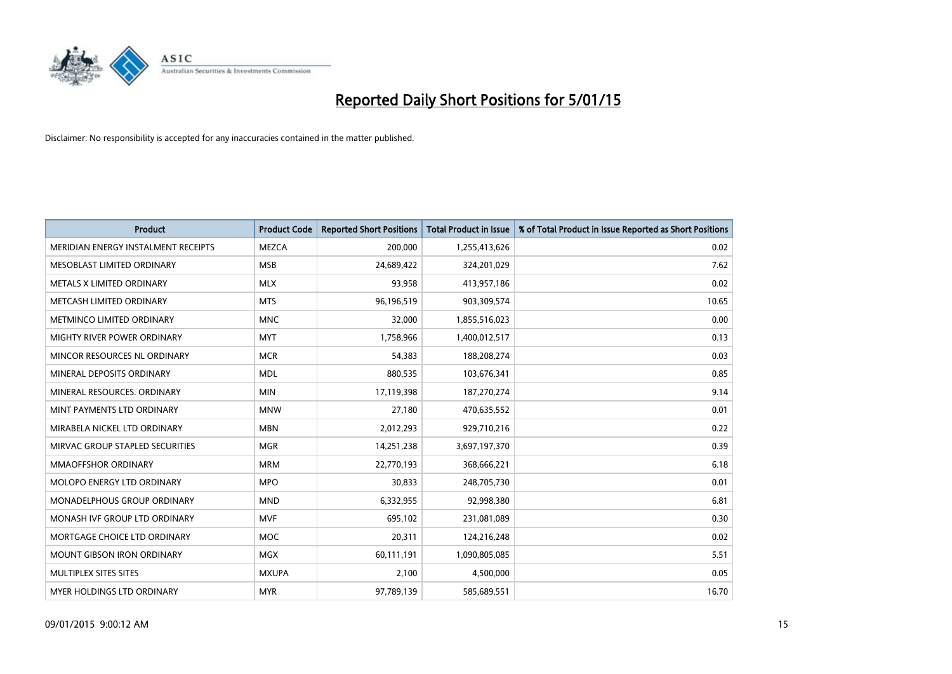

| <b>Product</b>                      | <b>Product Code</b> | <b>Reported Short Positions</b> | <b>Total Product in Issue</b> | % of Total Product in Issue Reported as Short Positions |
|-------------------------------------|---------------------|---------------------------------|-------------------------------|---------------------------------------------------------|
| MERIDIAN ENERGY INSTALMENT RECEIPTS | <b>MEZCA</b>        | 200,000                         | 1,255,413,626                 | 0.02                                                    |
| MESOBLAST LIMITED ORDINARY          | <b>MSB</b>          | 24,689,422                      | 324,201,029                   | 7.62                                                    |
| METALS X LIMITED ORDINARY           | <b>MLX</b>          | 93,958                          | 413,957,186                   | 0.02                                                    |
| METCASH LIMITED ORDINARY            | <b>MTS</b>          | 96,196,519                      | 903,309,574                   | 10.65                                                   |
| METMINCO LIMITED ORDINARY           | <b>MNC</b>          | 32,000                          | 1,855,516,023                 | 0.00                                                    |
| MIGHTY RIVER POWER ORDINARY         | <b>MYT</b>          | 1,758,966                       | 1,400,012,517                 | 0.13                                                    |
| MINCOR RESOURCES NL ORDINARY        | <b>MCR</b>          | 54,383                          | 188,208,274                   | 0.03                                                    |
| MINERAL DEPOSITS ORDINARY           | <b>MDL</b>          | 880,535                         | 103,676,341                   | 0.85                                                    |
| MINERAL RESOURCES. ORDINARY         | <b>MIN</b>          | 17,119,398                      | 187,270,274                   | 9.14                                                    |
| MINT PAYMENTS LTD ORDINARY          | <b>MNW</b>          | 27,180                          | 470,635,552                   | 0.01                                                    |
| MIRABELA NICKEL LTD ORDINARY        | <b>MBN</b>          | 2,012,293                       | 929,710,216                   | 0.22                                                    |
| MIRVAC GROUP STAPLED SECURITIES     | <b>MGR</b>          | 14,251,238                      | 3,697,197,370                 | 0.39                                                    |
| <b>MMAOFFSHOR ORDINARY</b>          | <b>MRM</b>          | 22,770,193                      | 368,666,221                   | 6.18                                                    |
| MOLOPO ENERGY LTD ORDINARY          | <b>MPO</b>          | 30,833                          | 248,705,730                   | 0.01                                                    |
| MONADELPHOUS GROUP ORDINARY         | <b>MND</b>          | 6,332,955                       | 92,998,380                    | 6.81                                                    |
| MONASH IVF GROUP LTD ORDINARY       | <b>MVF</b>          | 695,102                         | 231,081,089                   | 0.30                                                    |
| MORTGAGE CHOICE LTD ORDINARY        | <b>MOC</b>          | 20,311                          | 124,216,248                   | 0.02                                                    |
| <b>MOUNT GIBSON IRON ORDINARY</b>   | <b>MGX</b>          | 60,111,191                      | 1,090,805,085                 | 5.51                                                    |
| MULTIPLEX SITES SITES               | <b>MXUPA</b>        | 2,100                           | 4,500,000                     | 0.05                                                    |
| MYER HOLDINGS LTD ORDINARY          | <b>MYR</b>          | 97,789,139                      | 585,689,551                   | 16.70                                                   |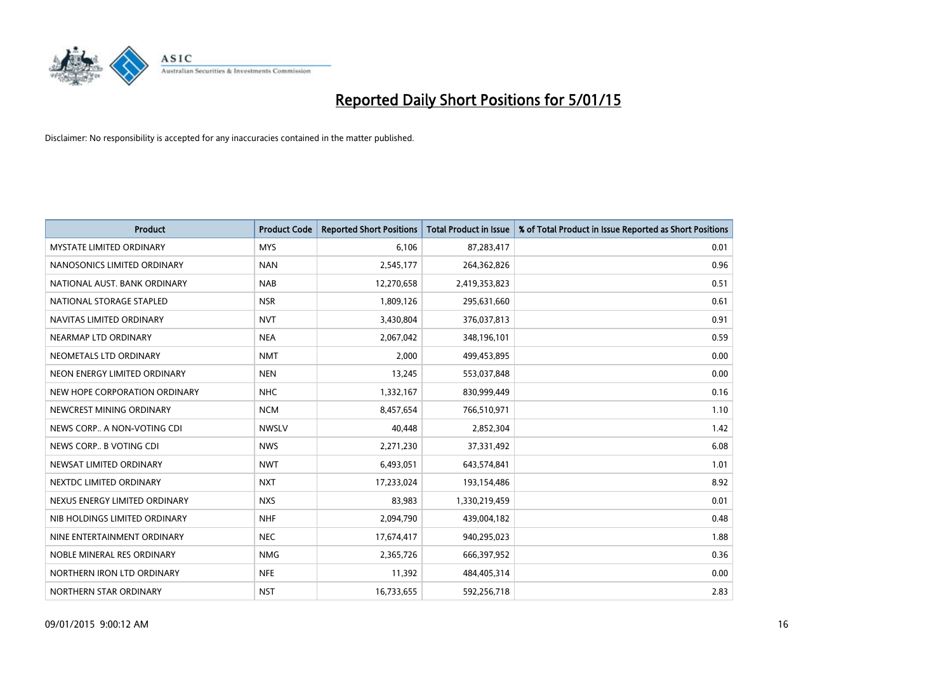

| <b>Product</b>                  | <b>Product Code</b> | <b>Reported Short Positions</b> | <b>Total Product in Issue</b> | % of Total Product in Issue Reported as Short Positions |
|---------------------------------|---------------------|---------------------------------|-------------------------------|---------------------------------------------------------|
| <b>MYSTATE LIMITED ORDINARY</b> | <b>MYS</b>          | 6,106                           | 87,283,417                    | 0.01                                                    |
| NANOSONICS LIMITED ORDINARY     | <b>NAN</b>          | 2,545,177                       | 264,362,826                   | 0.96                                                    |
| NATIONAL AUST. BANK ORDINARY    | <b>NAB</b>          | 12,270,658                      | 2,419,353,823                 | 0.51                                                    |
| NATIONAL STORAGE STAPLED        | <b>NSR</b>          | 1,809,126                       | 295,631,660                   | 0.61                                                    |
| NAVITAS LIMITED ORDINARY        | <b>NVT</b>          | 3,430,804                       | 376,037,813                   | 0.91                                                    |
| NEARMAP LTD ORDINARY            | <b>NEA</b>          | 2,067,042                       | 348,196,101                   | 0.59                                                    |
| NEOMETALS LTD ORDINARY          | <b>NMT</b>          | 2,000                           | 499,453,895                   | 0.00                                                    |
| NEON ENERGY LIMITED ORDINARY    | <b>NEN</b>          | 13,245                          | 553,037,848                   | 0.00                                                    |
| NEW HOPE CORPORATION ORDINARY   | <b>NHC</b>          | 1,332,167                       | 830,999,449                   | 0.16                                                    |
| NEWCREST MINING ORDINARY        | <b>NCM</b>          | 8,457,654                       | 766,510,971                   | 1.10                                                    |
| NEWS CORP A NON-VOTING CDI      | <b>NWSLV</b>        | 40,448                          | 2,852,304                     | 1.42                                                    |
| NEWS CORP B VOTING CDI          | <b>NWS</b>          | 2,271,230                       | 37,331,492                    | 6.08                                                    |
| NEWSAT LIMITED ORDINARY         | <b>NWT</b>          | 6,493,051                       | 643,574,841                   | 1.01                                                    |
| NEXTDC LIMITED ORDINARY         | <b>NXT</b>          | 17,233,024                      | 193,154,486                   | 8.92                                                    |
| NEXUS ENERGY LIMITED ORDINARY   | <b>NXS</b>          | 83,983                          | 1,330,219,459                 | 0.01                                                    |
| NIB HOLDINGS LIMITED ORDINARY   | <b>NHF</b>          | 2,094,790                       | 439,004,182                   | 0.48                                                    |
| NINE ENTERTAINMENT ORDINARY     | <b>NEC</b>          | 17,674,417                      | 940,295,023                   | 1.88                                                    |
| NOBLE MINERAL RES ORDINARY      | <b>NMG</b>          | 2,365,726                       | 666,397,952                   | 0.36                                                    |
| NORTHERN IRON LTD ORDINARY      | <b>NFE</b>          | 11,392                          | 484,405,314                   | 0.00                                                    |
| NORTHERN STAR ORDINARY          | <b>NST</b>          | 16,733,655                      | 592,256,718                   | 2.83                                                    |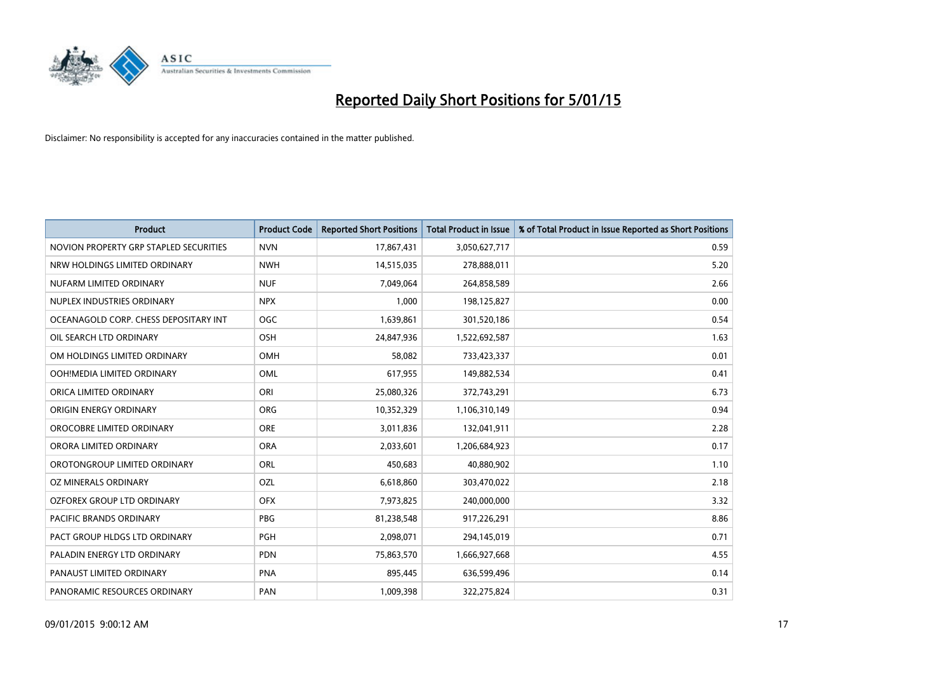

| <b>Product</b>                         | <b>Product Code</b> | <b>Reported Short Positions</b> | <b>Total Product in Issue</b> | % of Total Product in Issue Reported as Short Positions |
|----------------------------------------|---------------------|---------------------------------|-------------------------------|---------------------------------------------------------|
| NOVION PROPERTY GRP STAPLED SECURITIES | <b>NVN</b>          | 17,867,431                      | 3,050,627,717                 | 0.59                                                    |
| NRW HOLDINGS LIMITED ORDINARY          | <b>NWH</b>          | 14,515,035                      | 278,888,011                   | 5.20                                                    |
| NUFARM LIMITED ORDINARY                | <b>NUF</b>          | 7,049,064                       | 264,858,589                   | 2.66                                                    |
| NUPLEX INDUSTRIES ORDINARY             | <b>NPX</b>          | 1,000                           | 198,125,827                   | 0.00                                                    |
| OCEANAGOLD CORP. CHESS DEPOSITARY INT  | <b>OGC</b>          | 1,639,861                       | 301,520,186                   | 0.54                                                    |
| OIL SEARCH LTD ORDINARY                | OSH                 | 24,847,936                      | 1,522,692,587                 | 1.63                                                    |
| OM HOLDINGS LIMITED ORDINARY           | OMH                 | 58,082                          | 733,423,337                   | 0.01                                                    |
| OOH!MEDIA LIMITED ORDINARY             | OML                 | 617,955                         | 149,882,534                   | 0.41                                                    |
| ORICA LIMITED ORDINARY                 | ORI                 | 25,080,326                      | 372,743,291                   | 6.73                                                    |
| ORIGIN ENERGY ORDINARY                 | <b>ORG</b>          | 10,352,329                      | 1,106,310,149                 | 0.94                                                    |
| OROCOBRE LIMITED ORDINARY              | <b>ORE</b>          | 3,011,836                       | 132,041,911                   | 2.28                                                    |
| ORORA LIMITED ORDINARY                 | <b>ORA</b>          | 2,033,601                       | 1,206,684,923                 | 0.17                                                    |
| OROTONGROUP LIMITED ORDINARY           | ORL                 | 450,683                         | 40,880,902                    | 1.10                                                    |
| OZ MINERALS ORDINARY                   | OZL                 | 6,618,860                       | 303,470,022                   | 2.18                                                    |
| OZFOREX GROUP LTD ORDINARY             | <b>OFX</b>          | 7,973,825                       | 240,000,000                   | 3.32                                                    |
| PACIFIC BRANDS ORDINARY                | <b>PBG</b>          | 81,238,548                      | 917,226,291                   | 8.86                                                    |
| PACT GROUP HLDGS LTD ORDINARY          | PGH                 | 2,098,071                       | 294,145,019                   | 0.71                                                    |
| PALADIN ENERGY LTD ORDINARY            | <b>PDN</b>          | 75,863,570                      | 1,666,927,668                 | 4.55                                                    |
| PANAUST LIMITED ORDINARY               | <b>PNA</b>          | 895,445                         | 636,599,496                   | 0.14                                                    |
| PANORAMIC RESOURCES ORDINARY           | PAN                 | 1,009,398                       | 322,275,824                   | 0.31                                                    |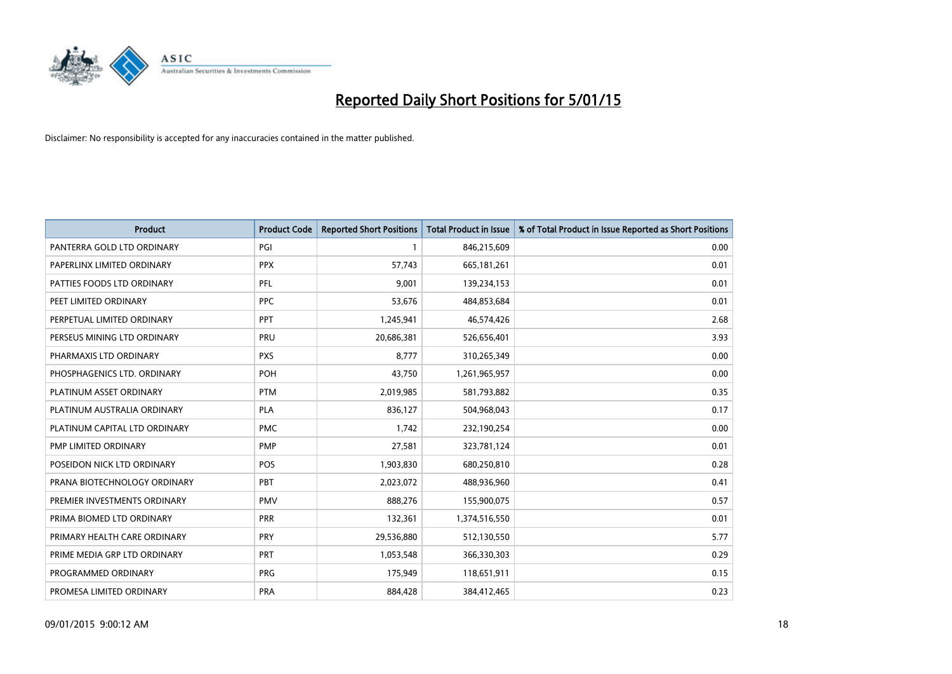

| <b>Product</b>                | <b>Product Code</b> | <b>Reported Short Positions</b> | Total Product in Issue | % of Total Product in Issue Reported as Short Positions |
|-------------------------------|---------------------|---------------------------------|------------------------|---------------------------------------------------------|
| PANTERRA GOLD LTD ORDINARY    | PGI                 | $\mathbf{1}$                    | 846,215,609            | 0.00                                                    |
| PAPERLINX LIMITED ORDINARY    | <b>PPX</b>          | 57,743                          | 665, 181, 261          | 0.01                                                    |
| PATTIES FOODS LTD ORDINARY    | PFL                 | 9,001                           | 139,234,153            | 0.01                                                    |
| PEET LIMITED ORDINARY         | <b>PPC</b>          | 53,676                          | 484,853,684            | 0.01                                                    |
| PERPETUAL LIMITED ORDINARY    | PPT                 | 1,245,941                       | 46,574,426             | 2.68                                                    |
| PERSEUS MINING LTD ORDINARY   | PRU                 | 20,686,381                      | 526,656,401            | 3.93                                                    |
| PHARMAXIS LTD ORDINARY        | <b>PXS</b>          | 8,777                           | 310,265,349            | 0.00                                                    |
| PHOSPHAGENICS LTD. ORDINARY   | POH                 | 43,750                          | 1,261,965,957          | 0.00                                                    |
| PLATINUM ASSET ORDINARY       | <b>PTM</b>          | 2,019,985                       | 581,793,882            | 0.35                                                    |
| PLATINUM AUSTRALIA ORDINARY   | <b>PLA</b>          | 836,127                         | 504,968,043            | 0.17                                                    |
| PLATINUM CAPITAL LTD ORDINARY | <b>PMC</b>          | 1,742                           | 232,190,254            | 0.00                                                    |
| PMP LIMITED ORDINARY          | <b>PMP</b>          | 27,581                          | 323,781,124            | 0.01                                                    |
| POSEIDON NICK LTD ORDINARY    | <b>POS</b>          | 1,903,830                       | 680,250,810            | 0.28                                                    |
| PRANA BIOTECHNOLOGY ORDINARY  | <b>PBT</b>          | 2,023,072                       | 488,936,960            | 0.41                                                    |
| PREMIER INVESTMENTS ORDINARY  | <b>PMV</b>          | 888,276                         | 155,900,075            | 0.57                                                    |
| PRIMA BIOMED LTD ORDINARY     | <b>PRR</b>          | 132,361                         | 1,374,516,550          | 0.01                                                    |
| PRIMARY HEALTH CARE ORDINARY  | <b>PRY</b>          | 29,536,880                      | 512,130,550            | 5.77                                                    |
| PRIME MEDIA GRP LTD ORDINARY  | PRT                 | 1,053,548                       | 366,330,303            | 0.29                                                    |
| PROGRAMMED ORDINARY           | <b>PRG</b>          | 175,949                         | 118,651,911            | 0.15                                                    |
| PROMESA LIMITED ORDINARY      | <b>PRA</b>          | 884,428                         | 384,412,465            | 0.23                                                    |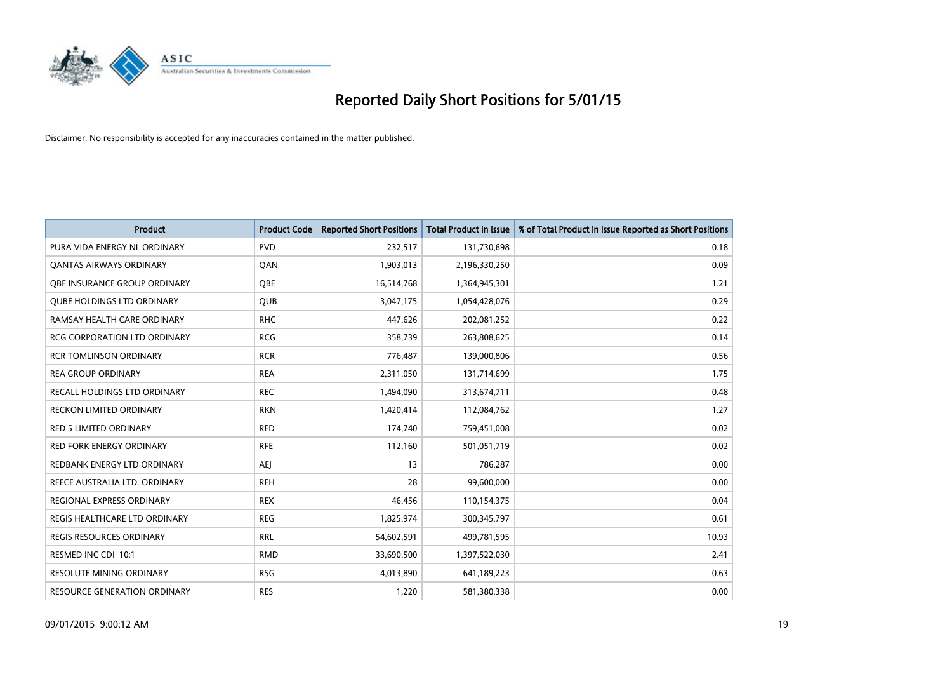

| <b>Product</b>                      | <b>Product Code</b> | <b>Reported Short Positions</b> | <b>Total Product in Issue</b> | % of Total Product in Issue Reported as Short Positions |
|-------------------------------------|---------------------|---------------------------------|-------------------------------|---------------------------------------------------------|
| PURA VIDA ENERGY NL ORDINARY        | <b>PVD</b>          | 232,517                         | 131,730,698                   | 0.18                                                    |
| <b>QANTAS AIRWAYS ORDINARY</b>      | QAN                 | 1,903,013                       | 2,196,330,250                 | 0.09                                                    |
| <b>OBE INSURANCE GROUP ORDINARY</b> | <b>OBE</b>          | 16,514,768                      | 1,364,945,301                 | 1.21                                                    |
| <b>QUBE HOLDINGS LTD ORDINARY</b>   | <b>QUB</b>          | 3,047,175                       | 1,054,428,076                 | 0.29                                                    |
| RAMSAY HEALTH CARE ORDINARY         | <b>RHC</b>          | 447,626                         | 202,081,252                   | 0.22                                                    |
| <b>RCG CORPORATION LTD ORDINARY</b> | <b>RCG</b>          | 358,739                         | 263,808,625                   | 0.14                                                    |
| <b>RCR TOMLINSON ORDINARY</b>       | <b>RCR</b>          | 776,487                         | 139,000,806                   | 0.56                                                    |
| <b>REA GROUP ORDINARY</b>           | <b>REA</b>          | 2,311,050                       | 131,714,699                   | 1.75                                                    |
| RECALL HOLDINGS LTD ORDINARY        | <b>REC</b>          | 1,494,090                       | 313,674,711                   | 0.48                                                    |
| <b>RECKON LIMITED ORDINARY</b>      | <b>RKN</b>          | 1,420,414                       | 112,084,762                   | 1.27                                                    |
| RED 5 LIMITED ORDINARY              | <b>RED</b>          | 174,740                         | 759,451,008                   | 0.02                                                    |
| <b>RED FORK ENERGY ORDINARY</b>     | <b>RFE</b>          | 112,160                         | 501,051,719                   | 0.02                                                    |
| REDBANK ENERGY LTD ORDINARY         | <b>AEI</b>          | 13                              | 786,287                       | 0.00                                                    |
| REECE AUSTRALIA LTD. ORDINARY       | <b>REH</b>          | 28                              | 99,600,000                    | 0.00                                                    |
| REGIONAL EXPRESS ORDINARY           | <b>REX</b>          | 46,456                          | 110,154,375                   | 0.04                                                    |
| REGIS HEALTHCARE LTD ORDINARY       | <b>REG</b>          | 1,825,974                       | 300, 345, 797                 | 0.61                                                    |
| <b>REGIS RESOURCES ORDINARY</b>     | <b>RRL</b>          | 54,602,591                      | 499,781,595                   | 10.93                                                   |
| RESMED INC CDI 10:1                 | <b>RMD</b>          | 33,690,500                      | 1,397,522,030                 | 2.41                                                    |
| <b>RESOLUTE MINING ORDINARY</b>     | <b>RSG</b>          | 4,013,890                       | 641,189,223                   | 0.63                                                    |
| RESOURCE GENERATION ORDINARY        | <b>RES</b>          | 1,220                           | 581,380,338                   | 0.00                                                    |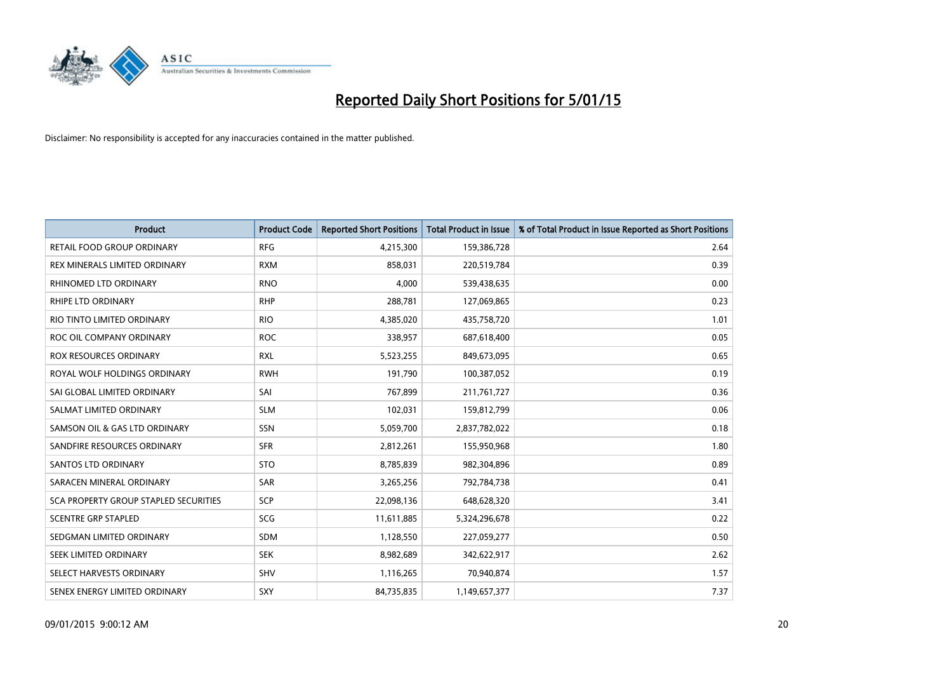

| <b>Product</b>                        | <b>Product Code</b> | <b>Reported Short Positions</b> | <b>Total Product in Issue</b> | % of Total Product in Issue Reported as Short Positions |
|---------------------------------------|---------------------|---------------------------------|-------------------------------|---------------------------------------------------------|
| <b>RETAIL FOOD GROUP ORDINARY</b>     | <b>RFG</b>          | 4,215,300                       | 159,386,728                   | 2.64                                                    |
| REX MINERALS LIMITED ORDINARY         | <b>RXM</b>          | 858,031                         | 220,519,784                   | 0.39                                                    |
| RHINOMED LTD ORDINARY                 | <b>RNO</b>          | 4,000                           | 539,438,635                   | 0.00                                                    |
| <b>RHIPE LTD ORDINARY</b>             | <b>RHP</b>          | 288,781                         | 127,069,865                   | 0.23                                                    |
| RIO TINTO LIMITED ORDINARY            | <b>RIO</b>          | 4,385,020                       | 435,758,720                   | 1.01                                                    |
| ROC OIL COMPANY ORDINARY              | <b>ROC</b>          | 338,957                         | 687,618,400                   | 0.05                                                    |
| ROX RESOURCES ORDINARY                | <b>RXL</b>          | 5,523,255                       | 849,673,095                   | 0.65                                                    |
| ROYAL WOLF HOLDINGS ORDINARY          | <b>RWH</b>          | 191,790                         | 100,387,052                   | 0.19                                                    |
| SAI GLOBAL LIMITED ORDINARY           | SAI                 | 767,899                         | 211,761,727                   | 0.36                                                    |
| SALMAT LIMITED ORDINARY               | <b>SLM</b>          | 102,031                         | 159,812,799                   | 0.06                                                    |
| SAMSON OIL & GAS LTD ORDINARY         | SSN                 | 5,059,700                       | 2,837,782,022                 | 0.18                                                    |
| SANDFIRE RESOURCES ORDINARY           | <b>SFR</b>          | 2,812,261                       | 155,950,968                   | 1.80                                                    |
| <b>SANTOS LTD ORDINARY</b>            | <b>STO</b>          | 8,785,839                       | 982,304,896                   | 0.89                                                    |
| SARACEN MINERAL ORDINARY              | SAR                 | 3,265,256                       | 792,784,738                   | 0.41                                                    |
| SCA PROPERTY GROUP STAPLED SECURITIES | SCP                 | 22,098,136                      | 648,628,320                   | 3.41                                                    |
| <b>SCENTRE GRP STAPLED</b>            | SCG                 | 11,611,885                      | 5,324,296,678                 | 0.22                                                    |
| SEDGMAN LIMITED ORDINARY              | SDM                 | 1,128,550                       | 227,059,277                   | 0.50                                                    |
| SEEK LIMITED ORDINARY                 | <b>SEK</b>          | 8,982,689                       | 342,622,917                   | 2.62                                                    |
| SELECT HARVESTS ORDINARY              | SHV                 | 1,116,265                       | 70,940,874                    | 1.57                                                    |
| SENEX ENERGY LIMITED ORDINARY         | SXY                 | 84,735,835                      | 1,149,657,377                 | 7.37                                                    |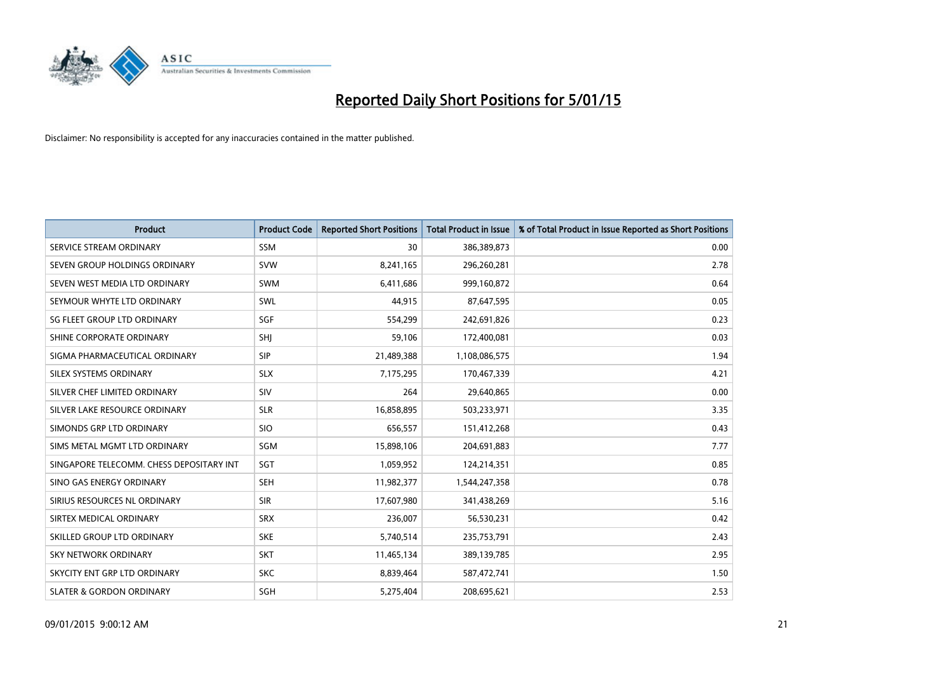

| <b>Product</b>                           | <b>Product Code</b> | <b>Reported Short Positions</b> | <b>Total Product in Issue</b> | % of Total Product in Issue Reported as Short Positions |
|------------------------------------------|---------------------|---------------------------------|-------------------------------|---------------------------------------------------------|
| SERVICE STREAM ORDINARY                  | <b>SSM</b>          | 30                              | 386,389,873                   | 0.00                                                    |
| SEVEN GROUP HOLDINGS ORDINARY            | <b>SVW</b>          | 8,241,165                       | 296,260,281                   | 2.78                                                    |
| SEVEN WEST MEDIA LTD ORDINARY            | <b>SWM</b>          | 6,411,686                       | 999,160,872                   | 0.64                                                    |
| SEYMOUR WHYTE LTD ORDINARY               | <b>SWL</b>          | 44,915                          | 87,647,595                    | 0.05                                                    |
| SG FLEET GROUP LTD ORDINARY              | SGF                 | 554,299                         | 242,691,826                   | 0.23                                                    |
| SHINE CORPORATE ORDINARY                 | SHI                 | 59,106                          | 172,400,081                   | 0.03                                                    |
| SIGMA PHARMACEUTICAL ORDINARY            | <b>SIP</b>          | 21,489,388                      | 1,108,086,575                 | 1.94                                                    |
| SILEX SYSTEMS ORDINARY                   | <b>SLX</b>          | 7,175,295                       | 170,467,339                   | 4.21                                                    |
| SILVER CHEF LIMITED ORDINARY             | SIV                 | 264                             | 29,640,865                    | 0.00                                                    |
| SILVER LAKE RESOURCE ORDINARY            | <b>SLR</b>          | 16,858,895                      | 503,233,971                   | 3.35                                                    |
| SIMONDS GRP LTD ORDINARY                 | <b>SIO</b>          | 656,557                         | 151,412,268                   | 0.43                                                    |
| SIMS METAL MGMT LTD ORDINARY             | SGM                 | 15,898,106                      | 204,691,883                   | 7.77                                                    |
| SINGAPORE TELECOMM. CHESS DEPOSITARY INT | SGT                 | 1,059,952                       | 124,214,351                   | 0.85                                                    |
| SINO GAS ENERGY ORDINARY                 | <b>SEH</b>          | 11,982,377                      | 1,544,247,358                 | 0.78                                                    |
| SIRIUS RESOURCES NL ORDINARY             | <b>SIR</b>          | 17,607,980                      | 341,438,269                   | 5.16                                                    |
| SIRTEX MEDICAL ORDINARY                  | <b>SRX</b>          | 236,007                         | 56,530,231                    | 0.42                                                    |
| SKILLED GROUP LTD ORDINARY               | <b>SKE</b>          | 5,740,514                       | 235,753,791                   | 2.43                                                    |
| <b>SKY NETWORK ORDINARY</b>              | <b>SKT</b>          | 11,465,134                      | 389,139,785                   | 2.95                                                    |
| SKYCITY ENT GRP LTD ORDINARY             | <b>SKC</b>          | 8,839,464                       | 587,472,741                   | 1.50                                                    |
| <b>SLATER &amp; GORDON ORDINARY</b>      | SGH                 | 5,275,404                       | 208,695,621                   | 2.53                                                    |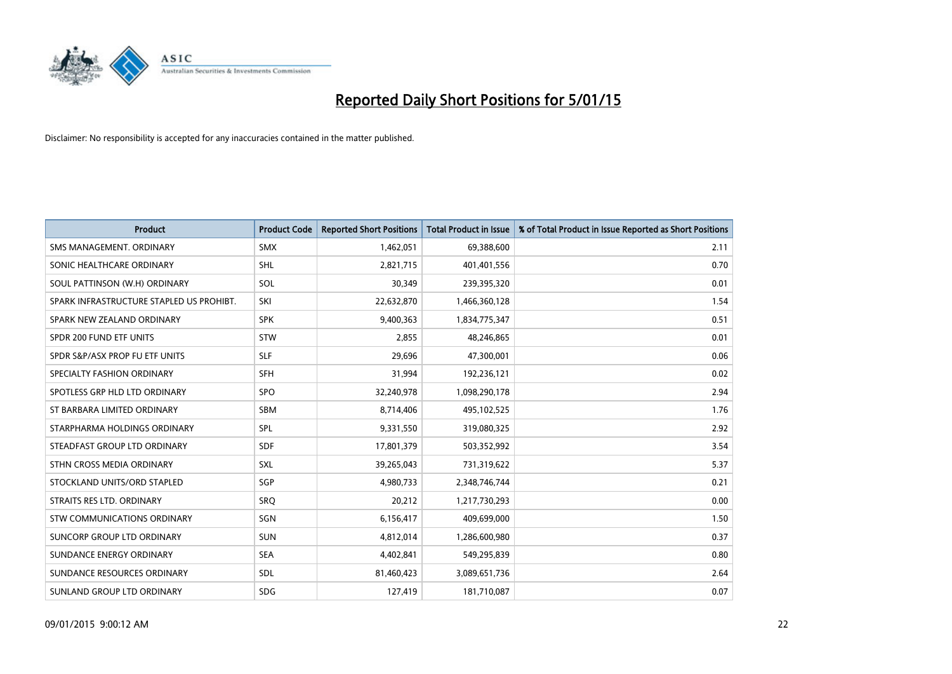

| <b>Product</b>                           | <b>Product Code</b> | <b>Reported Short Positions</b> | <b>Total Product in Issue</b> | % of Total Product in Issue Reported as Short Positions |
|------------------------------------------|---------------------|---------------------------------|-------------------------------|---------------------------------------------------------|
| SMS MANAGEMENT, ORDINARY                 | <b>SMX</b>          | 1,462,051                       | 69,388,600                    | 2.11                                                    |
| SONIC HEALTHCARE ORDINARY                | <b>SHL</b>          | 2,821,715                       | 401,401,556                   | 0.70                                                    |
| SOUL PATTINSON (W.H) ORDINARY            | SOL                 | 30,349                          | 239,395,320                   | 0.01                                                    |
| SPARK INFRASTRUCTURE STAPLED US PROHIBT. | SKI                 | 22,632,870                      | 1,466,360,128                 | 1.54                                                    |
| SPARK NEW ZEALAND ORDINARY               | <b>SPK</b>          | 9,400,363                       | 1,834,775,347                 | 0.51                                                    |
| SPDR 200 FUND ETF UNITS                  | <b>STW</b>          | 2,855                           | 48,246,865                    | 0.01                                                    |
| SPDR S&P/ASX PROP FU ETF UNITS           | <b>SLF</b>          | 29,696                          | 47,300,001                    | 0.06                                                    |
| SPECIALTY FASHION ORDINARY               | <b>SFH</b>          | 31,994                          | 192,236,121                   | 0.02                                                    |
| SPOTLESS GRP HLD LTD ORDINARY            | SPO                 | 32,240,978                      | 1,098,290,178                 | 2.94                                                    |
| ST BARBARA LIMITED ORDINARY              | <b>SBM</b>          | 8,714,406                       | 495,102,525                   | 1.76                                                    |
| STARPHARMA HOLDINGS ORDINARY             | <b>SPL</b>          | 9,331,550                       | 319,080,325                   | 2.92                                                    |
| STEADFAST GROUP LTD ORDINARY             | SDF                 | 17,801,379                      | 503,352,992                   | 3.54                                                    |
| STHN CROSS MEDIA ORDINARY                | <b>SXL</b>          | 39,265,043                      | 731,319,622                   | 5.37                                                    |
| STOCKLAND UNITS/ORD STAPLED              | SGP                 | 4,980,733                       | 2,348,746,744                 | 0.21                                                    |
| STRAITS RES LTD. ORDINARY                | <b>SRQ</b>          | 20,212                          | 1,217,730,293                 | 0.00                                                    |
| <b>STW COMMUNICATIONS ORDINARY</b>       | SGN                 | 6,156,417                       | 409,699,000                   | 1.50                                                    |
| SUNCORP GROUP LTD ORDINARY               | <b>SUN</b>          | 4,812,014                       | 1,286,600,980                 | 0.37                                                    |
| SUNDANCE ENERGY ORDINARY                 | <b>SEA</b>          | 4,402,841                       | 549,295,839                   | 0.80                                                    |
| SUNDANCE RESOURCES ORDINARY              | <b>SDL</b>          | 81,460,423                      | 3,089,651,736                 | 2.64                                                    |
| SUNLAND GROUP LTD ORDINARY               | <b>SDG</b>          | 127,419                         | 181,710,087                   | 0.07                                                    |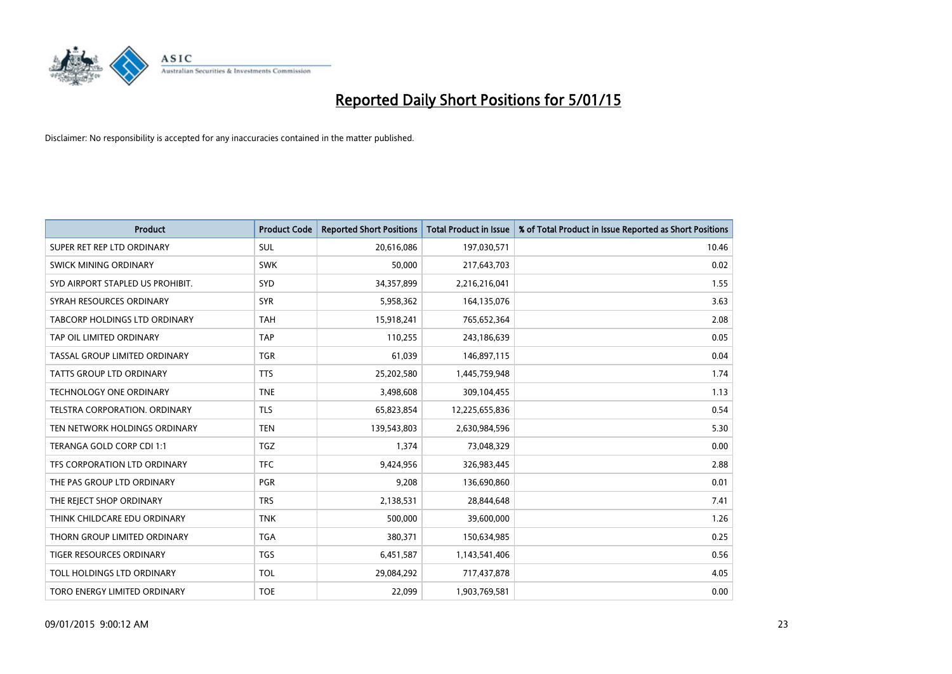

| <b>Product</b>                       | <b>Product Code</b> | <b>Reported Short Positions</b> | <b>Total Product in Issue</b> | % of Total Product in Issue Reported as Short Positions |
|--------------------------------------|---------------------|---------------------------------|-------------------------------|---------------------------------------------------------|
| SUPER RET REP LTD ORDINARY           | <b>SUL</b>          | 20,616,086                      | 197,030,571                   | 10.46                                                   |
| SWICK MINING ORDINARY                | <b>SWK</b>          | 50,000                          | 217,643,703                   | 0.02                                                    |
| SYD AIRPORT STAPLED US PROHIBIT.     | SYD                 | 34,357,899                      | 2,216,216,041                 | 1.55                                                    |
| SYRAH RESOURCES ORDINARY             | <b>SYR</b>          | 5,958,362                       | 164,135,076                   | 3.63                                                    |
| <b>TABCORP HOLDINGS LTD ORDINARY</b> | <b>TAH</b>          | 15,918,241                      | 765,652,364                   | 2.08                                                    |
| TAP OIL LIMITED ORDINARY             | <b>TAP</b>          | 110,255                         | 243,186,639                   | 0.05                                                    |
| TASSAL GROUP LIMITED ORDINARY        | <b>TGR</b>          | 61,039                          | 146,897,115                   | 0.04                                                    |
| TATTS GROUP LTD ORDINARY             | <b>TTS</b>          | 25,202,580                      | 1,445,759,948                 | 1.74                                                    |
| <b>TECHNOLOGY ONE ORDINARY</b>       | <b>TNE</b>          | 3,498,608                       | 309,104,455                   | 1.13                                                    |
| TELSTRA CORPORATION, ORDINARY        | <b>TLS</b>          | 65,823,854                      | 12,225,655,836                | 0.54                                                    |
| TEN NETWORK HOLDINGS ORDINARY        | <b>TEN</b>          | 139,543,803                     | 2,630,984,596                 | 5.30                                                    |
| TERANGA GOLD CORP CDI 1:1            | <b>TGZ</b>          | 1,374                           | 73,048,329                    | 0.00                                                    |
| TFS CORPORATION LTD ORDINARY         | <b>TFC</b>          | 9,424,956                       | 326,983,445                   | 2.88                                                    |
| THE PAS GROUP LTD ORDINARY           | <b>PGR</b>          | 9,208                           | 136,690,860                   | 0.01                                                    |
| THE REJECT SHOP ORDINARY             | <b>TRS</b>          | 2,138,531                       | 28,844,648                    | 7.41                                                    |
| THINK CHILDCARE EDU ORDINARY         | <b>TNK</b>          | 500,000                         | 39,600,000                    | 1.26                                                    |
| THORN GROUP LIMITED ORDINARY         | <b>TGA</b>          | 380,371                         | 150,634,985                   | 0.25                                                    |
| TIGER RESOURCES ORDINARY             | <b>TGS</b>          | 6,451,587                       | 1,143,541,406                 | 0.56                                                    |
| TOLL HOLDINGS LTD ORDINARY           | <b>TOL</b>          | 29,084,292                      | 717,437,878                   | 4.05                                                    |
| TORO ENERGY LIMITED ORDINARY         | <b>TOE</b>          | 22,099                          | 1,903,769,581                 | 0.00                                                    |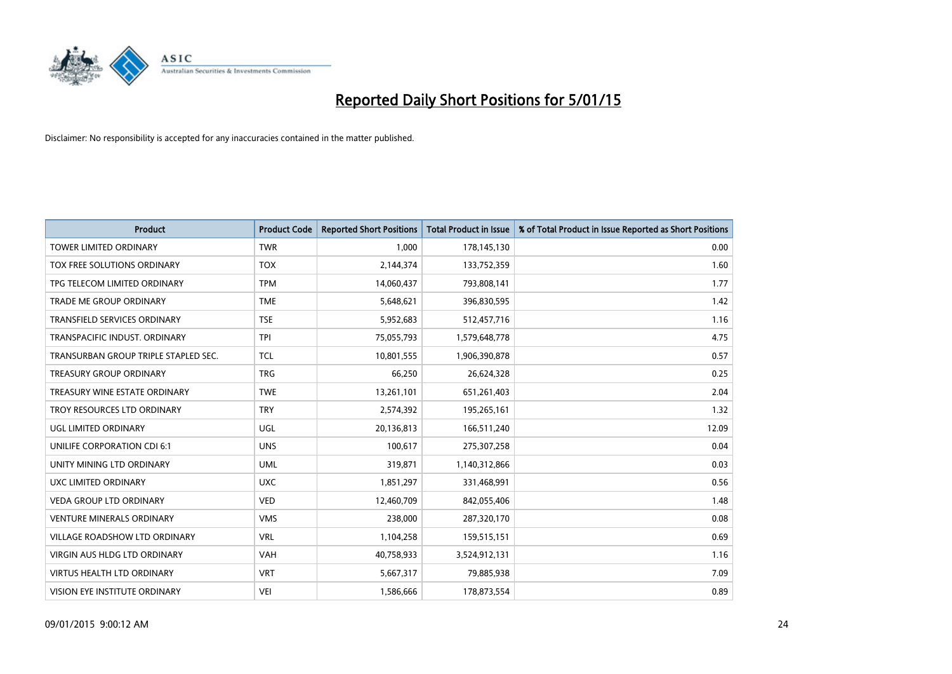

| <b>Product</b>                       | <b>Product Code</b> | <b>Reported Short Positions</b> | <b>Total Product in Issue</b> | % of Total Product in Issue Reported as Short Positions |
|--------------------------------------|---------------------|---------------------------------|-------------------------------|---------------------------------------------------------|
| <b>TOWER LIMITED ORDINARY</b>        | <b>TWR</b>          | 1,000                           | 178,145,130                   | 0.00                                                    |
| TOX FREE SOLUTIONS ORDINARY          | <b>TOX</b>          | 2,144,374                       | 133,752,359                   | 1.60                                                    |
| TPG TELECOM LIMITED ORDINARY         | <b>TPM</b>          | 14,060,437                      | 793,808,141                   | 1.77                                                    |
| <b>TRADE ME GROUP ORDINARY</b>       | <b>TME</b>          | 5,648,621                       | 396,830,595                   | 1.42                                                    |
| <b>TRANSFIELD SERVICES ORDINARY</b>  | <b>TSE</b>          | 5,952,683                       | 512,457,716                   | 1.16                                                    |
| TRANSPACIFIC INDUST, ORDINARY        | <b>TPI</b>          | 75,055,793                      | 1,579,648,778                 | 4.75                                                    |
| TRANSURBAN GROUP TRIPLE STAPLED SEC. | <b>TCL</b>          | 10,801,555                      | 1,906,390,878                 | 0.57                                                    |
| TREASURY GROUP ORDINARY              | <b>TRG</b>          | 66,250                          | 26,624,328                    | 0.25                                                    |
| TREASURY WINE ESTATE ORDINARY        | <b>TWE</b>          | 13,261,101                      | 651,261,403                   | 2.04                                                    |
| TROY RESOURCES LTD ORDINARY          | <b>TRY</b>          | 2,574,392                       | 195,265,161                   | 1.32                                                    |
| UGL LIMITED ORDINARY                 | UGL                 | 20,136,813                      | 166,511,240                   | 12.09                                                   |
| UNILIFE CORPORATION CDI 6:1          | <b>UNS</b>          | 100,617                         | 275,307,258                   | 0.04                                                    |
| UNITY MINING LTD ORDINARY            | <b>UML</b>          | 319,871                         | 1,140,312,866                 | 0.03                                                    |
| UXC LIMITED ORDINARY                 | <b>UXC</b>          | 1,851,297                       | 331,468,991                   | 0.56                                                    |
| <b>VEDA GROUP LTD ORDINARY</b>       | <b>VED</b>          | 12,460,709                      | 842,055,406                   | 1.48                                                    |
| <b>VENTURE MINERALS ORDINARY</b>     | <b>VMS</b>          | 238,000                         | 287,320,170                   | 0.08                                                    |
| VILLAGE ROADSHOW LTD ORDINARY        | <b>VRL</b>          | 1,104,258                       | 159,515,151                   | 0.69                                                    |
| <b>VIRGIN AUS HLDG LTD ORDINARY</b>  | <b>VAH</b>          | 40,758,933                      | 3,524,912,131                 | 1.16                                                    |
| <b>VIRTUS HEALTH LTD ORDINARY</b>    | <b>VRT</b>          | 5,667,317                       | 79,885,938                    | 7.09                                                    |
| VISION EYE INSTITUTE ORDINARY        | <b>VEI</b>          | 1,586,666                       | 178,873,554                   | 0.89                                                    |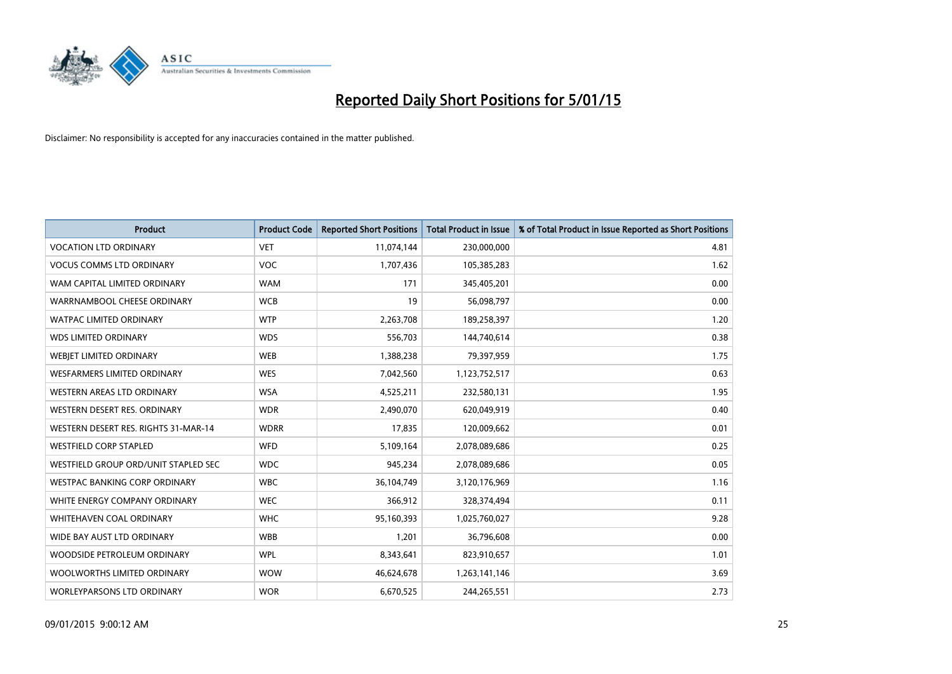

| <b>Product</b>                       | <b>Product Code</b> | <b>Reported Short Positions</b> | <b>Total Product in Issue</b> | % of Total Product in Issue Reported as Short Positions |
|--------------------------------------|---------------------|---------------------------------|-------------------------------|---------------------------------------------------------|
| <b>VOCATION LTD ORDINARY</b>         | <b>VET</b>          | 11,074,144                      | 230,000,000                   | 4.81                                                    |
| <b>VOCUS COMMS LTD ORDINARY</b>      | VOC                 | 1,707,436                       | 105,385,283                   | 1.62                                                    |
| WAM CAPITAL LIMITED ORDINARY         | <b>WAM</b>          | 171                             | 345,405,201                   | 0.00                                                    |
| WARRNAMBOOL CHEESE ORDINARY          | <b>WCB</b>          | 19                              | 56,098,797                    | 0.00                                                    |
| <b>WATPAC LIMITED ORDINARY</b>       | <b>WTP</b>          | 2,263,708                       | 189,258,397                   | 1.20                                                    |
| <b>WDS LIMITED ORDINARY</b>          | <b>WDS</b>          | 556,703                         | 144,740,614                   | 0.38                                                    |
| <b>WEBIET LIMITED ORDINARY</b>       | <b>WEB</b>          | 1,388,238                       | 79,397,959                    | 1.75                                                    |
| <b>WESFARMERS LIMITED ORDINARY</b>   | <b>WES</b>          | 7,042,560                       | 1,123,752,517                 | 0.63                                                    |
| <b>WESTERN AREAS LTD ORDINARY</b>    | <b>WSA</b>          | 4,525,211                       | 232,580,131                   | 1.95                                                    |
| WESTERN DESERT RES. ORDINARY         | <b>WDR</b>          | 2,490,070                       | 620,049,919                   | 0.40                                                    |
| WESTERN DESERT RES. RIGHTS 31-MAR-14 | <b>WDRR</b>         | 17,835                          | 120,009,662                   | 0.01                                                    |
| <b>WESTFIELD CORP STAPLED</b>        | <b>WFD</b>          | 5,109,164                       | 2,078,089,686                 | 0.25                                                    |
| WESTFIELD GROUP ORD/UNIT STAPLED SEC | <b>WDC</b>          | 945,234                         | 2,078,089,686                 | 0.05                                                    |
| <b>WESTPAC BANKING CORP ORDINARY</b> | <b>WBC</b>          | 36,104,749                      | 3,120,176,969                 | 1.16                                                    |
| WHITE ENERGY COMPANY ORDINARY        | <b>WEC</b>          | 366,912                         | 328,374,494                   | 0.11                                                    |
| WHITEHAVEN COAL ORDINARY             | <b>WHC</b>          | 95,160,393                      | 1,025,760,027                 | 9.28                                                    |
| WIDE BAY AUST LTD ORDINARY           | <b>WBB</b>          | 1,201                           | 36,796,608                    | 0.00                                                    |
| WOODSIDE PETROLEUM ORDINARY          | <b>WPL</b>          | 8,343,641                       | 823,910,657                   | 1.01                                                    |
| WOOLWORTHS LIMITED ORDINARY          | <b>WOW</b>          | 46,624,678                      | 1,263,141,146                 | 3.69                                                    |
| WORLEYPARSONS LTD ORDINARY           | <b>WOR</b>          | 6,670,525                       | 244,265,551                   | 2.73                                                    |